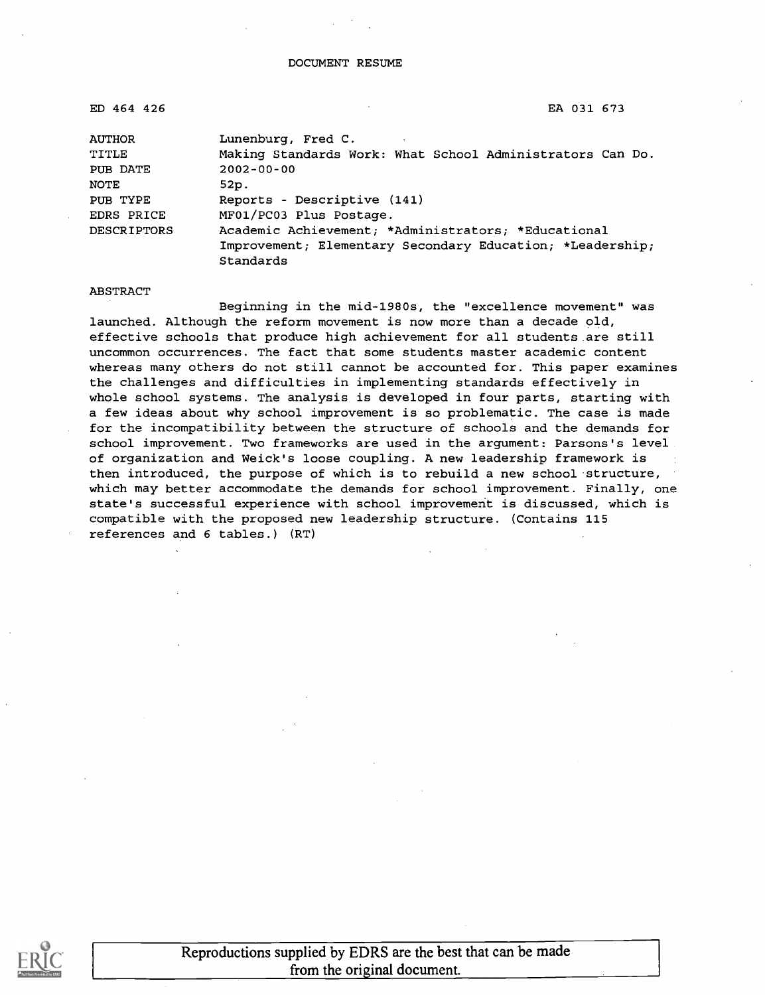| ED 464 426         | EA 031 673                                                |
|--------------------|-----------------------------------------------------------|
| AUTHOR             | Lunenburg, Fred C.                                        |
| TITLE              | Making Standards Work: What School Administrators Can Do. |
| PUB DATE           | $2002 - 00 - 00$                                          |
| NOTE               | 52p.                                                      |
| PUB TYPE           | Reports - Descriptive (141)                               |
| EDRS PRICE         | MF01/PC03 Plus Postage.                                   |
| <b>DESCRIPTORS</b> | Academic Achievement; *Administrators; *Educational       |
|                    | Improvement; Elementary Secondary Education; *Leadership; |
|                    | Standards                                                 |

#### ABSTRACT

Beginning in the mid-1980s, the "excellence movement" was launched. Although the reform movement is now more than a decade old, effective schools that produce high achievement for all students are still uncommon occurrences. The fact that some students master academic content whereas many others do not still cannot be accounted for. This paper examines the challenges and difficulties in implementing standards effectively in whole school systems. The analysis is developed in four parts, starting with a few ideas about why school improvement is so problematic. The case is made for the incompatibility between the structure of schools and the demands for school improvement. Two frameworks are used in the argument: Parsons's level of organization and Weick's loose coupling. A new leadership framework is then introduced, the purpose of which is to rebuild a new school structure, which may better accommodate the demands for school improvement. Finally, one state's successful experience with school improvement is discussed, which is compatible with the proposed new leadership structure. (Contains 115 references and 6 tables.) (RT)



Reproductions supplied by EDRS are the best that can be made from the original document.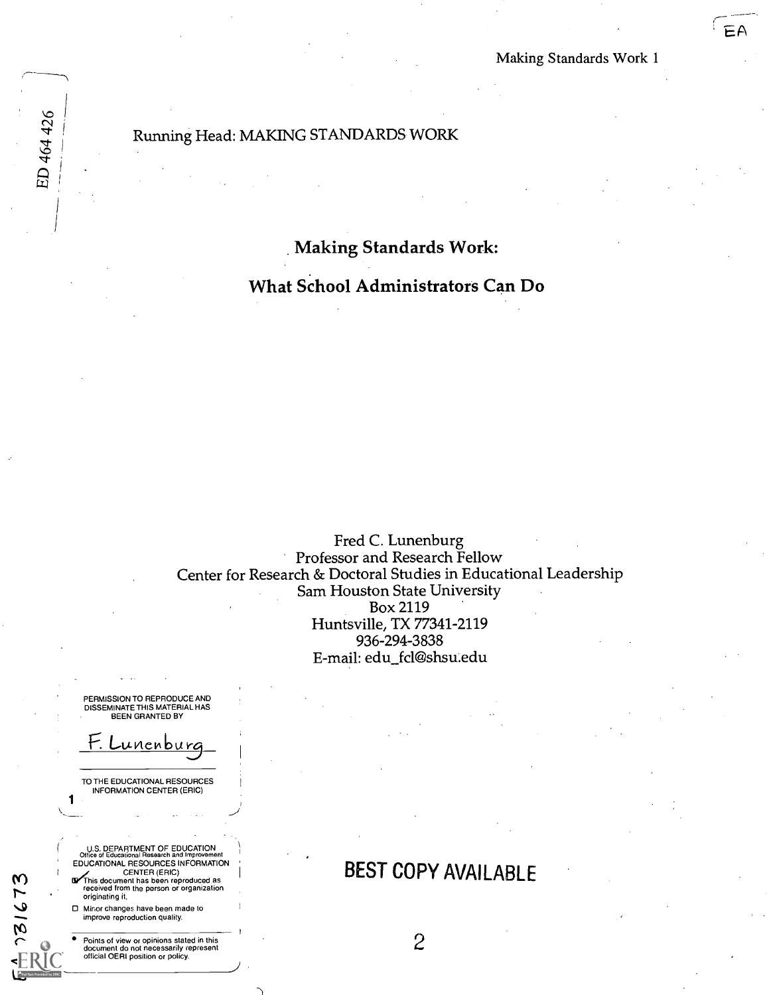EA

#### Running Head: MAKING STANDARDS WORK

Making Standards Work:

What School Administrators Can Do

Fred C. Lunenburg Professor and Research Fellow Center for Research & Doctoral Studies in Educational Leadership Sam Houston State University Box 2119 Huntsville, TX 77341-2119 936-294-3838 E-mail: edu\_fcl@shsu.edu

PERMISSION TO REPRODUCE AND DISSEMINATE THIS MATERIAL HAS BEEN GRANTED BY

F. Lunenburg

TO THE EDUCATIONAL RESOURCES INFORMATION CENTER (ERIC)

1

 $31673$ 

ED 464 426

U.S. DEPARTMENT OF EDUCATION Office of Educational Research and Improvement EDUCATIONAL RESOURCES INFORMATION CENTER (ERIC)

**LIV** This document has been reproduced as<br>received from the person or organization<br>originating it.

0 Minor changes have been made to improve reproduction quality.

Points of view or opinions stated in this document do not necessarily represent official OERI position or policy.

## BEST COPY AVAILABLE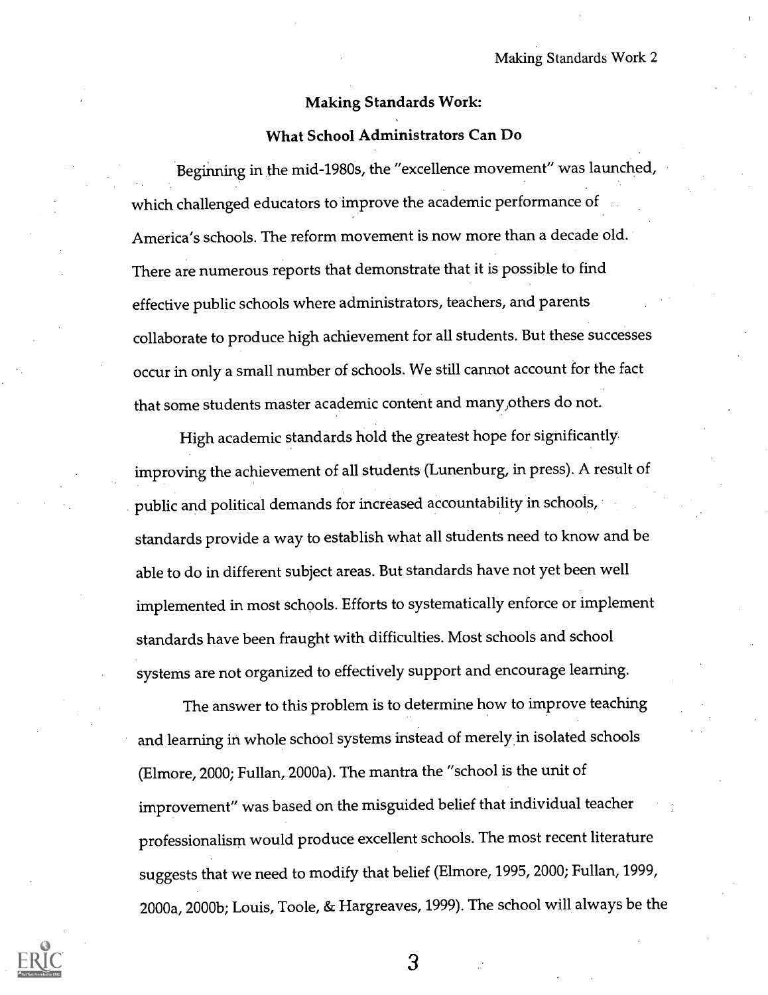#### Making Standards Work:

#### What School Administrators Can Do

Beginning in the mid-1980s, the "excellence movement" was launched, which challenged educators to improve the academic performance of America's schools. The reform movement is now more than a decade old. There are numerous reports that demonstrate that it is possible to find effective public schools where administrators, teachers, and parents collaborate to produce high achievement for all students. But these successes occur in only a small number of schools. We still cannot account for the fact that some students master academic content and many,others do not.

High academic standards hold the greatest hope for significantly improving the achievement of all students (Lunenburg, in press). A result of public and political demands for increased accountability in schools, standards provide a way to establish what all students need to know and be able to do in different subject areas. But standards have not yet been well implemented in most schools. Efforts to systematically enforce or implement standards have been fraught with difficulties. Most schools and school systems are not organized to effectively support and encourage learning.

The answer to this problem is to determine how to improve teaching and learning in whole school systems instead of merely in isolated schools (Elmore, 2000; Fullan, 2000a). The mantra the "school is the unit of improvement" was based on the misguided belief that individual teacher professionalism would produce excellent schools. The most recent literature suggests that we need to modify that belief (Elmore, 1995, 2000; Fullan, 1999, 2000a, 2000b; Louis, Toole, & Hargreaves, 1999). The school will always be the

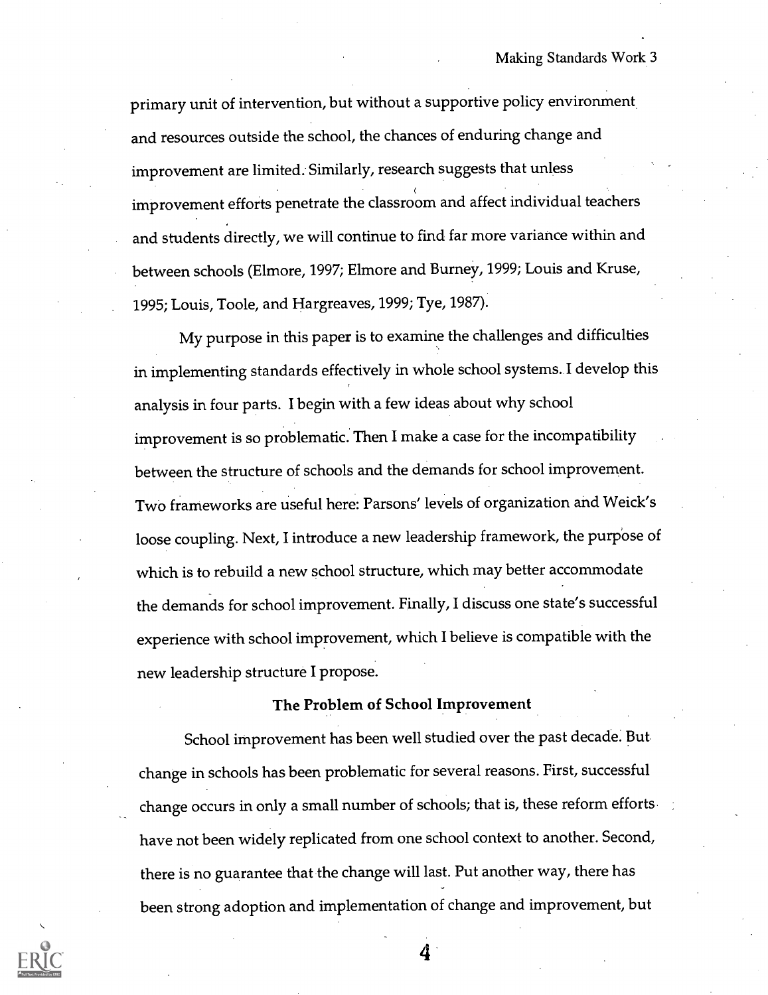primary unit of intervention, but without a supportive policy environment and resources outside the school, the chances of enduring change and improvement are limited. Similarly, research suggests that unless improvement efforts penetrate the classroom and affect individual teachers and students directly, we will continue to find far more variance within and between schools (Elmore, 1997; Elmore and Burney, 1999; Louis and Kruse, 1995; Louis, Toole, and Hargreaves, 1999; Tye, 1987).

My purpose in this paper is to examine the challenges and difficulties in implementing standards effectively in whole school systems. I develop this analysis in four parts. I begin with a few ideas about why school improvement is so problematic. Then I make a case for the incompatibility between the structure of schools and the demands for school improvement. Two frameworks are useful here: Parsons' levels of organization and Weick's loose coupling. Next, I introduce a new leadership framework, the purpose of which is to rebuild a new school structure, which may better accommodate the demands for school improvement. Finally, I discuss one state's successful experience with school improvement, which I believe is compatible with the new leadership structure I propose.

#### The Problem of School Improvement

School improvement has been well studied over the past decade. But change in schools has been problematic for several reasons. First, successful change occurs in only a small number of schools; that is, these reform efforts have not been widely replicated from one school context to another. Second, there is no guarantee that the change will last. Put another way, there has been strong adoption and implementation of change and improvement, but

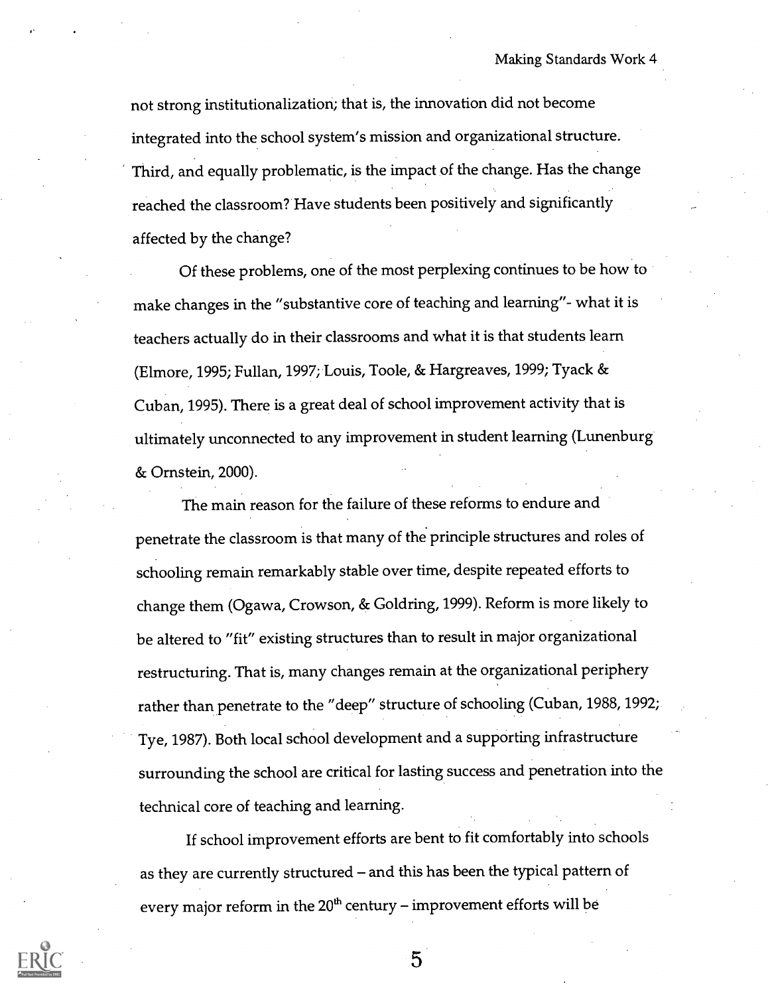not strong institutionalization; that is, the innovation did not become integrated into the school system's mission and organizational structure. Third, and equally problematic, is the impact of the change. Has the change reached the classroom? Have students been positively and significantly affected by the change?

Of these problems, one of the most perplexing continues to be how to make changes in the "substantive core of teaching and learning"- what it is teachers actually do in their classrooms and what it is that students learn (Elmore, 1995; Fullan, 1997; Louis, Toole, & Hargreaves, 1999; Tyack & Cuban, 1995). There is a great deal of school improvement activity that is ultimately unconnected to any improvement in student learning (Lunenburg & Ornstein, 2000).

The main reason for the failure of these reforms to endure and penetrate the classroom is that many of the principle structures and roles of schooling remain remarkably stable over time, despite repeated efforts to change them (Ogawa, Crowson, & Goldring, 1999). Reform is more likely to be altered to "fit" existing structures than to result in major organizational restructuring. That is, many changes remain at the organizational periphery rather than penetrate to the "deep" structure of schooling (Cuban, 1988, 1992; Tye, 1987). Both local school development and a supporting infrastructure surrounding the school are critical for lasting success and penetration into the technical core of teaching and learning.

If school improvement efforts are bent to fit comfortably into schools as they are currently structured – and this has been the typical pattern of every major reform in the  $20<sup>th</sup>$  century – improvement efforts will be

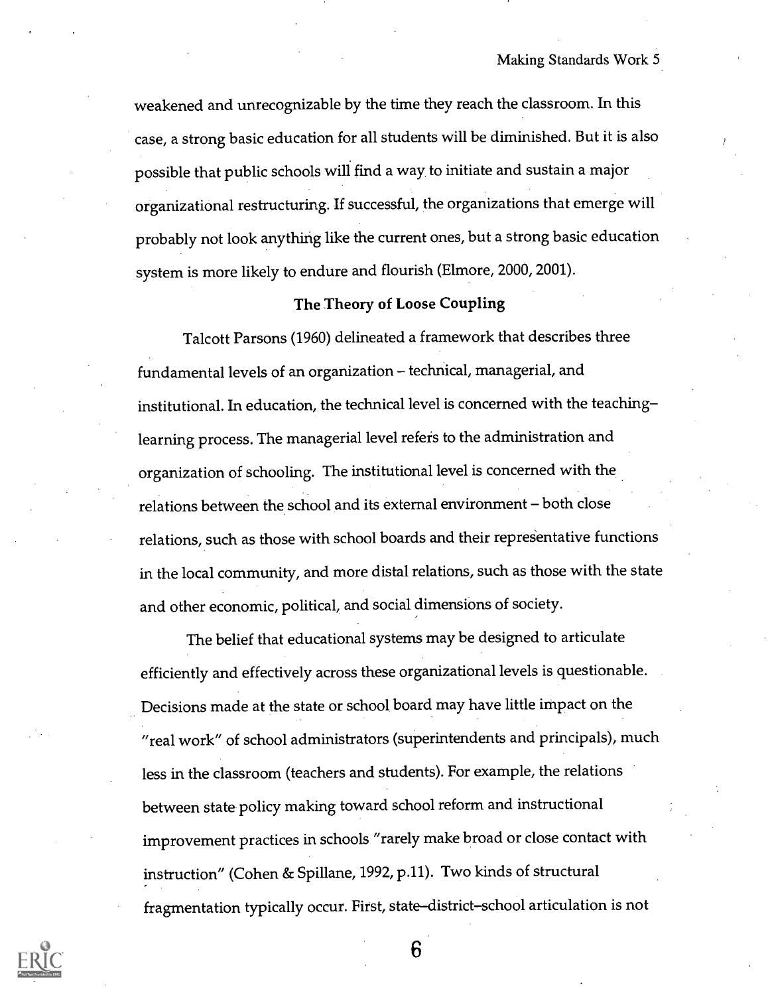weakened and unrecognizable by the time they reach the classroom. In this case, a strong basic education for all students will be diminished. But it is also possible that public schools will find a way, to initiate and sustain a major organizational restructuring. If successful, the organizations that emerge will probably not look anything like the current ones, but a strong basic education system is more likely to endure and flourish (Elmore, 2000, 2001).

#### The Theory of Loose Coupling

Talcott Parsons (1960) delineated a framework that describes three fundamental levels of an organization - technical, managerial, and institutional. In education, the technical level is concerned with the teaching learning process. The managerial level refers to the administration and organization of schooling. The institutional level is concerned with the relations between the school and its external environment - both close relations, such as those with school boards and their representative functions in the local community, and more distal relations, such as those with the state and other economic, political, and social dimensions of society.

The belief that educational systems may be designed to articulate efficiently and effectively across these organizational levels is questionable. Decisions made at the state or school board may have little impact on the "real work" of school administrators (superintendents and principals), much less in the classroom (teachers and students). For example, the relations between state policy making toward school reform and instructional improvement practices in schools "rarely make broad or close contact with instruction" (Cohen & Spillane, 1992, p.11). Two kinds of structural fragmentation typically occur. First, state-district-school articulation is not

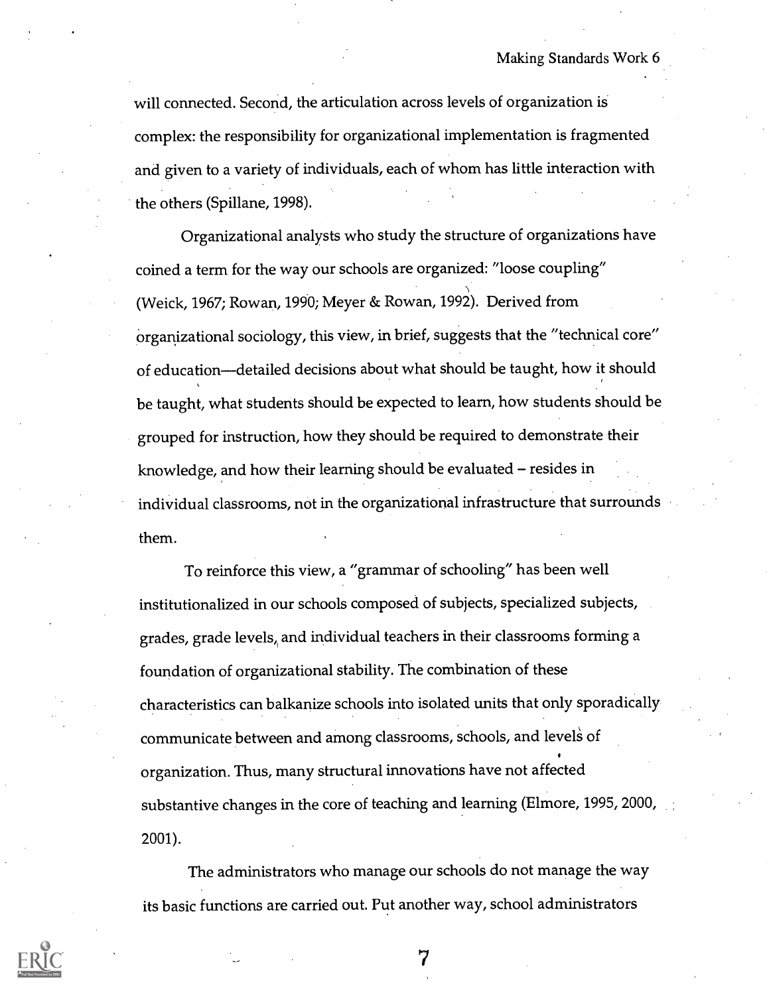will connected. Second, the articulation across levels of organization is complex: the responsibility for organizational implementation is fragmented and given to a variety of individuals, each of whom has little interaction with the others (Spillane, 1998).

Organizational analysts who study the structure of organizations have coined a term for the way our schools are organized: "loose coupling" (Weick, 1967; Rowan, 1990; Meyer & Rowan, 1992). Derived from Organizational sociology, this view, in brief, suggests that the "technical core" of education—detailed decisions about what should be taught, how it should be taught, what students should be expected to learn, how students should be grouped for instruction, how they should be required to demonstrate their knowledge, and how their learning should be evaluated - resides in individual classrooms, not in the organizational infrastructure that surrounds them.

To reinforce this view, a "grammar of schooling" has been well institutionalized in our schools composed of subjects, specialized subjects, grades, grade levels,, and individual teachers in their classrooms forming a foundation of organizational stability. The combination of these characteristics can balkanize schools into isolated units that only sporadically communicate between and among classrooms, schools, and levels of organization. Thus, many structural innovations have not affected substantive changes in the core of teaching and learning (Elmore, 1995, 2000, 2001).

The administrators who manage our schools do not manage the way its basic functions are carried out. Put another way, school administrators

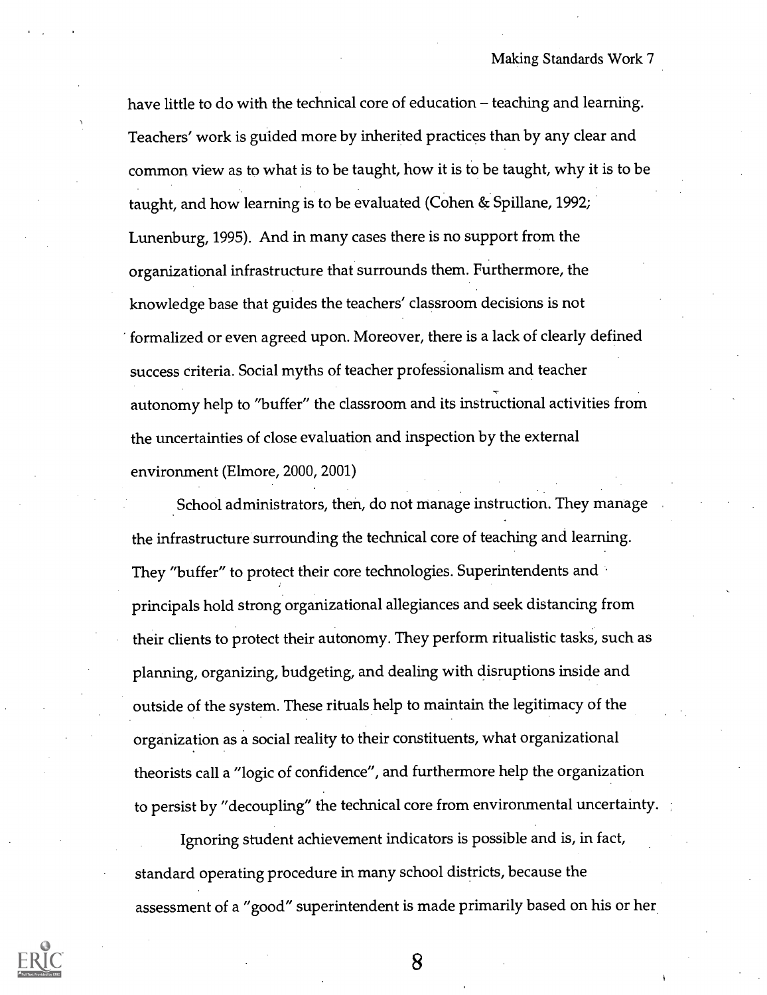have little to do with the technical core of education  $-$  teaching and learning. Teachers' work is guided more by inherited practices than by any clear and common view as to what is to be taught, how it is to be taught, why it is to be taught, and how learning is to be evaluated (Cohen & Spillane, 1992; Lunenburg, 1995). And in many cases there is no support from the organizational infrastructure that surrounds them. Furthermore, the knowledge base that guides the teachers' classroom decisions is not formalized or even agreed upon. Moreover, there is a lack of clearly defined success criteria. Social myths of teacher professionalism and teacher autonomy help to "buffer" the classroom and its instructional activities from the uncertainties of close evaluation and inspection by the external environment (Elmore, 2000, 2001)

School administrators, then, do not manage instruction. They manage the infrastructure surrounding the technical core of teaching and learning. They "buffer" to protect their core technologies. Superintendents and principals hold strong organizational allegiances and seek distancing from their clients to protect their autonomy. They perform ritualistic tasks, such as planning, organizing, budgeting, and dealing with disruptions inside and outside of the system. These rituals help to maintain the legitimacy of the organization as a social reality to their constituents, what organizational theorists call a "logic of confidence", and furthermore help the organization to persist by "decoupling" the technical core from environmental uncertainty.

Ignoring student achievement indicators is possible and is, in fact, standard operating procedure in many school districts, because the assessment of a "good" superintendent is made primarily based on his or her

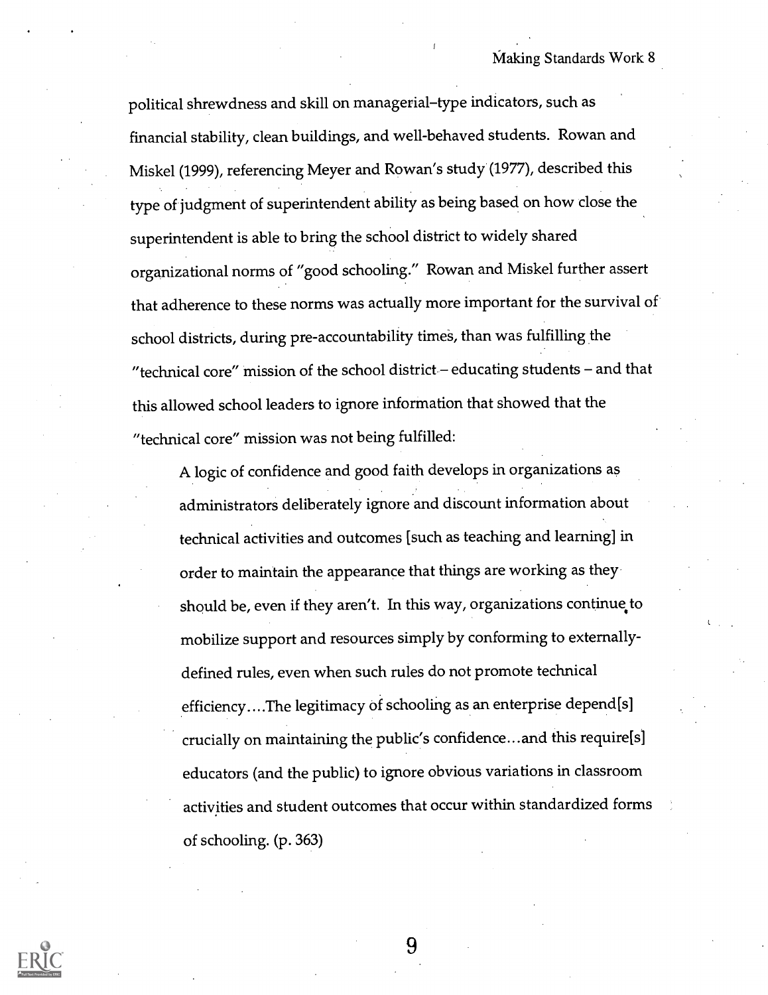political shrewdness and skill on managerial-type indicators, such as financial stability, clean buildings, and well-behaved students. Rowan and Miskel (1999), referencing Meyer and Rowan's study (1977), described this type of judgment of superintendent ability as being based on how close the superintendent is able to bring the school district to widely shared organizational norms of "good schooling." Rowan and Miskel further assert that adherence to these norms was actually more important for the survival of school districts, during pre-accountability times, than was fulfilling the "technical core" mission of the school district  $-$  educating students  $-$  and that this allowed school leaders to ignore information that showed that the "technical core" mission was not being fulfilled:

A logic of confidence and good faith develops in organizations as administrators deliberately ignore and discount information about technical activities and outcomes [such as teaching and learning] in order to maintain the appearance that things are working as they should be, even if they aren't. In this way, organizations continue to mobilize support and resources simply by conforming to externallydefined rules, even when such rules do not promote technical efficiency....The legitimacy of schooling as an enterprise depend[s] crucially on maintaining the public's confidence...and this require[s] educators (and the public) to ignore obvious variations in classroom activities and student outcomes that occur within standardized forms of schooling. (p. 363)

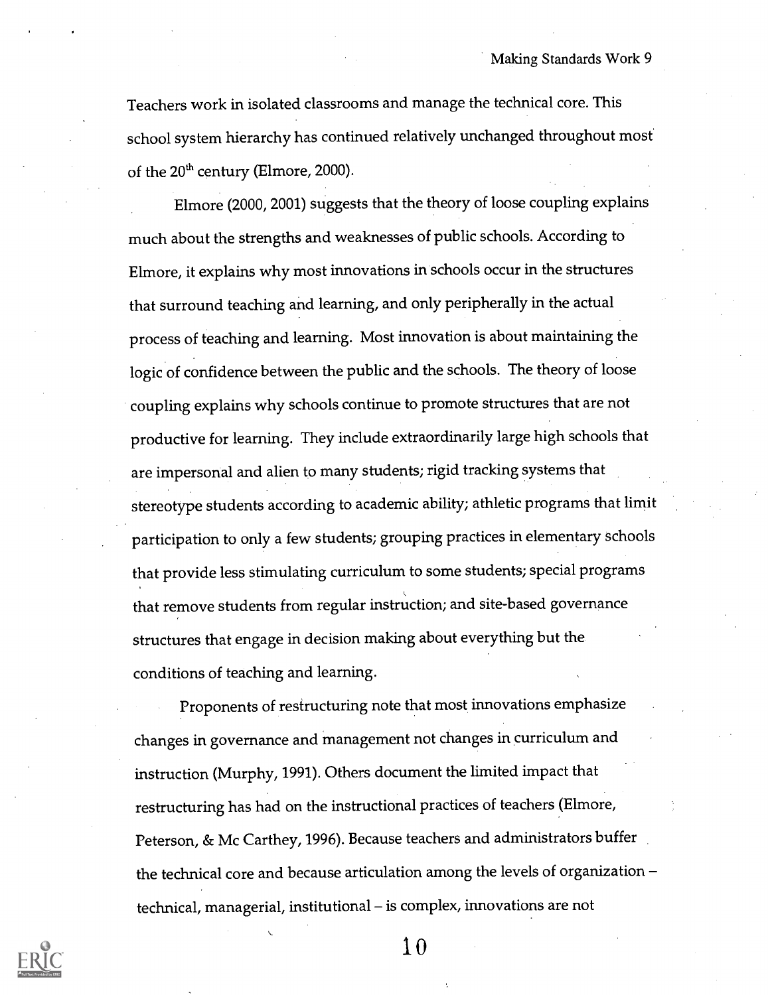Teachers work in isolated classrooms and manage the technical core. This school system hierarchy has continued relatively unchanged throughout most of the  $20<sup>th</sup>$  century (Elmore, 2000).

Elmore (2000, 2001) suggests that the theory of loose coupling explains much about the strengths and weaknesses of public schools. According to Elmore, it explains why most innovations in schools occur in the structures that surround teaching and learning, and only peripherally in the actual process of teaching and learning. Most innovation is about maintaining the logic of confidence between the public and the schools. The theory of loose coupling explains why schools continue to promote structures that are not productive for learning. They include extraordinarily large high schools that are impersonal and alien to many students; rigid tracking systems that stereotype students according to academic ability; athletic programs that limit participation to only a few students; grouping practices in elementary schools that provide less stimulating curriculum to some students; special programs that remove students from regular instruction; and site-based governance structures that engage in decision making about everything but the conditions of teaching and learning.

Proponents of restructuring note that most innovations emphasize changes in governance and management not changes in curriculum and instruction (Murphy, 1991). Others document the limited impact that restructuring has had on the instructional practices of teachers (Elmore, Peterson, & Mc Carthey, 1996). Because teachers and administrators buffer the technical core and because articulation among the levels of organization technical, managerial, institutional – is complex, innovations are not

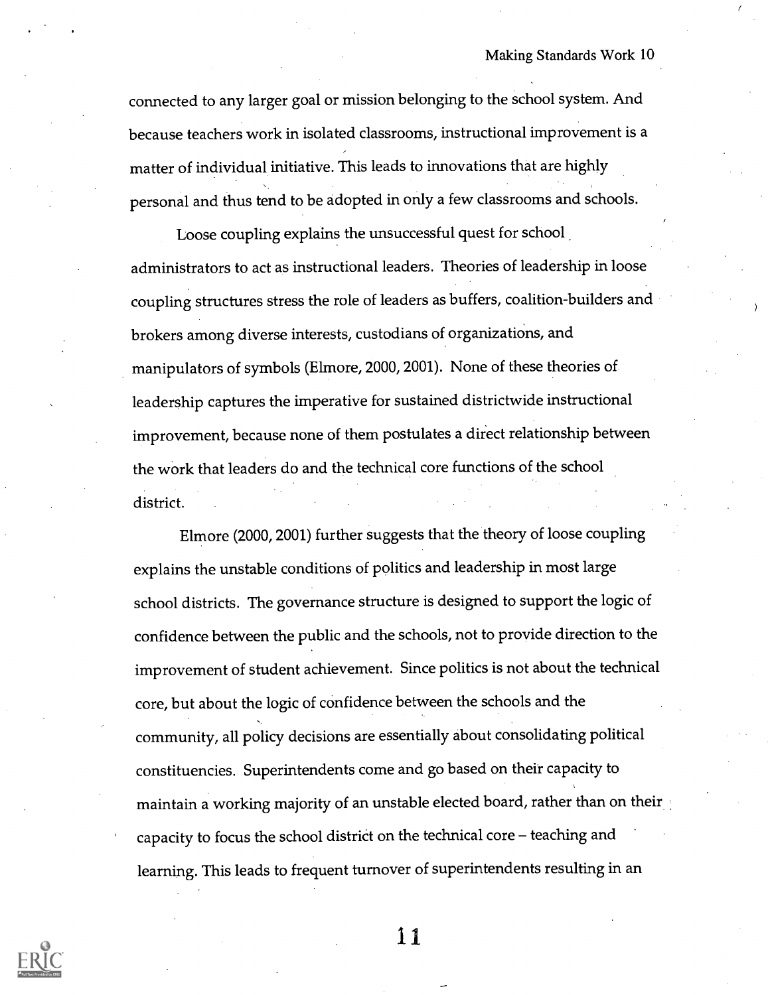connected to any larger goal or mission belonging to the school system. And because teachers work in isolated classrooms, instructional improvement is a matter of individual initiative. This leads to innovations that are highly personal and thus tend to be adopted in only a few classrooms and schools.

Loose coupling explains the unsuccessful quest for school administrators to act as instructional leaders. Theories of leadership in loose coupling structures stress the role of leaders as buffers, coalition-builders and brokers among diverse interests, custodians of organizations, and manipulators of symbols (Elmore, 2000, 2001). None of these theories of leadership captures the imperative for sustained districtwide instructional improvement, because none of them postulates a direct relationship between the work that leaders do and the technical core functions of the school district.

Elmore (2000, 2001) further suggests that the theory of loose coupling explains the unstable conditions of politics and leadership in most large school districts. The governance structure is designed to support the logic of confidence between the public and the schools, not to provide direction to the improvement of student achievement. Since politics is not about the technical core, but about the logic of confidence between the schools and the community, all policy decisions are essentially about consolidating political constituencies. Superintendents come and go based on their capacity to maintain a working majority of an unstable elected board, rather than on their capacity to focus the school district on the technical core  $-$  teaching and learning. This leads to frequent turnover of superintendents resulting in an

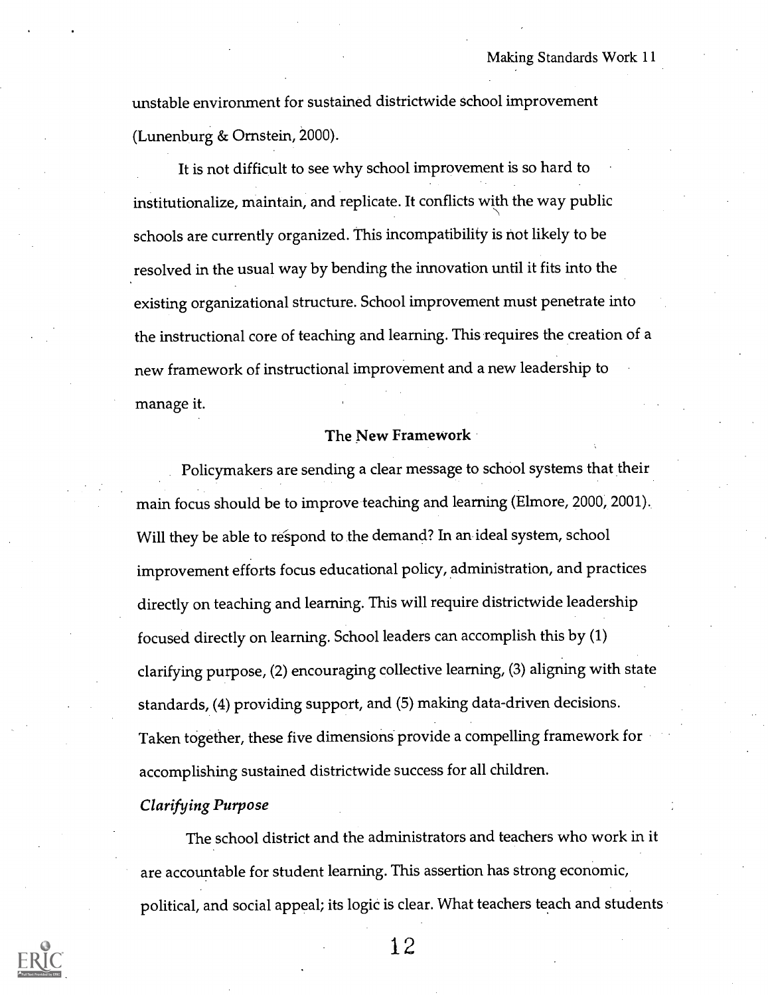unstable environment for sustained districtwide school improvement (Lunenburg & Ornstein, 2000).

It is not difficult to see why school improvement is so hard to institutionalize, maintain, and replicate. It conflicts with the way public schools are currently organized. This incompatibility is not likely to be resolved in the usual way by bending the innovation until it fits into the existing organizational structure. School improvement must penetrate into the instructional core of teaching and learning. This requires the creation of a new framework of instructional improvement and a new leadership to manage it.

#### The New Framework

Policymakers are sending a clear message to school systems that their main focus should be to improve teaching and learning (Elmore, 2000, 2001). Will they be able to respond to the demand? In an ideal system, school improvement efforts focus educational policy, administration, and practices directly on teaching and learning. This will require districtwide leadership focused directly on learning. School leaders can accomplish this by (1) clarifying purpose, (2) encouraging collective learning, (3) aligning with state standards, (4) providing support, and (5) making data-driven decisions. Taken together, these five dimensions provide a compelling framework for accomplishing sustained districtwide success for all children.

#### Clarifying Purpose

The school district and the administrators and teachers who work in it are accountable for student learning. This assertion has strong economic, political, and social appeal; its logic is clear. What teachers teach and students

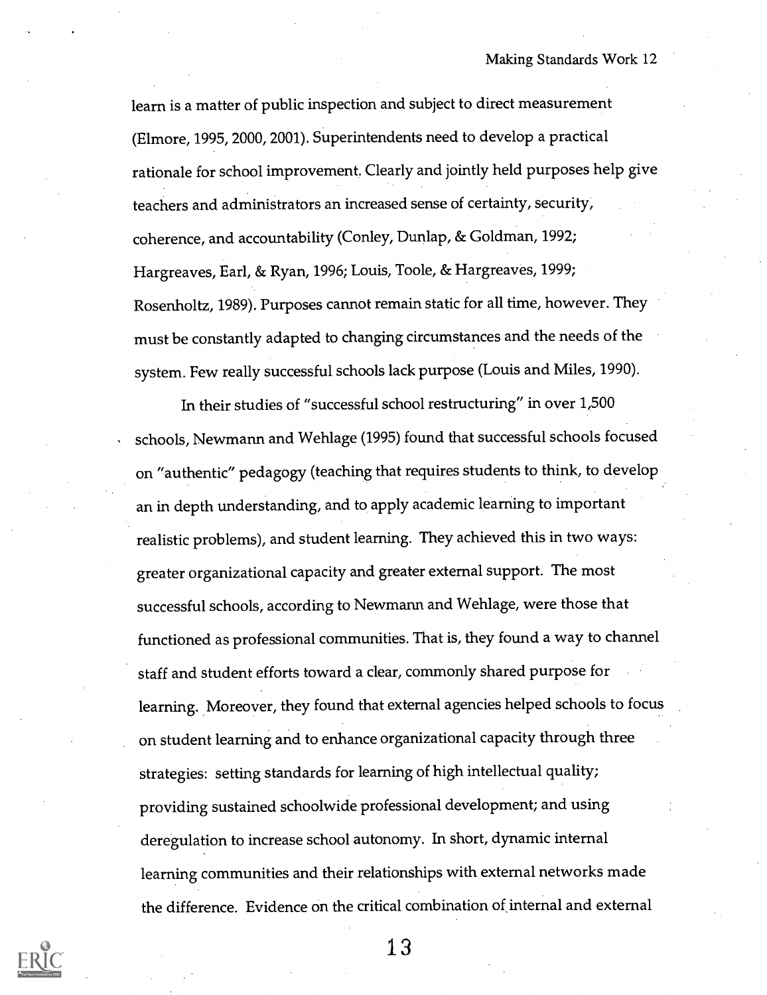learn is a matter of public inspection and subject to direct measurement (Elmore, 1995, 2000, 2001). Superintendents need to develop a practical rationale for school improvement. Clearly and jointly held purposes help give teachers and administrators an increased sense of certainty, security, coherence, and accountability (Conley, Dunlap, & Goldman, 1992; Hargreaves, Earl, & Ryan, 1996; Louis, Toole, & Hargreaves, 1999; Rosenholtz, 1989). Purposes cannot remain static for all time, however. They must be constantly adapted to changing circumstances and the needs of the system. Few really successful schools lack purpose (Louis and Miles, 1990).

In their studies of "successful school restructuring" in over 1,500 schools, Newmann and Wehlage (1995) found that successful schools focused on "authentic" pedagogy (teaching that requires students to think, to develop an in depth understanding, and to apply academic learning to important realistic problems), and student learning. They achieved this in two ways: greater organizational capacity and greater external support. The most successful schools, according to Newmann and Wehlage, were those that functioned as professional communities. That is, they found a way to channel staff and student efforts toward a clear, commonly shared purpose for learning. Moreover, they found that external agencies helped schools to focus on student learning and to enhance organizational capacity through three strategies: setting standards for learning of high intellectual quality; providing sustained schoolwide professional development; and using deregulation to increase school autonomy. In short, dynamic internal learning communities and their relationships with external networks made the difference. Evidence on the critical combination of internal and external

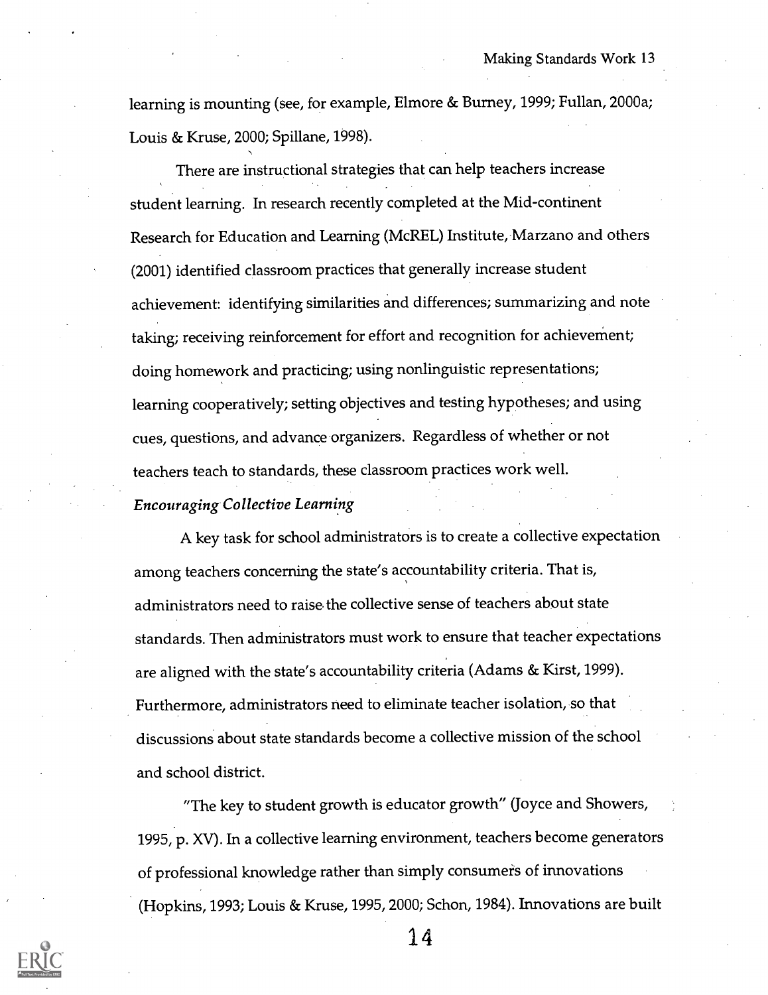learning is mounting (see, for example, Elmore & Burney, 1999; Fullan, 2000a; Louis & Kruse, 2000; Spillane, 1998).

There are instructional strategies that can help teachers increase student learning. In research recently completed at the Mid-continent Research for Education and Learning (McREL) Institute, Marzano and others (2001) identified classroom practices that generally increase student achievement: identifying similarities and differences; summarizing and note taking; receiving reinforcement for effort and recognition for achievement; doing homework and practicing; using nonlinguistic representations; learning cooperatively; setting objectives and testing hypotheses; and using cues, questions, and advance organizers. Regardless of whether or not teachers teach to standards, these classroom practices work well.

#### Encouraging Collective Learning

A key task for school administrators is to create a collective expectation among teachers concerning the state's accountability criteria. That is, administrators need to raise, the collective sense of teachers about state standards. Then administrators must work to ensure that teacher expectations are aligned with the state's accountability criteria (Adams & Kirst, 1999). Furthermore, administrators need to eliminate teacher isolation, so that discussions about state standards become a collective mission of the school and school district.

"The key to student growth is educator growth" (Joyce and Showers, 1995, p. XV). In a collective learning environment, teachers become generators of professional knowledge rather than simply consumers of innovations (Hopkins, 1993; Louis & Kruse, 1995, 2000; Schon, 1984). Innovations are built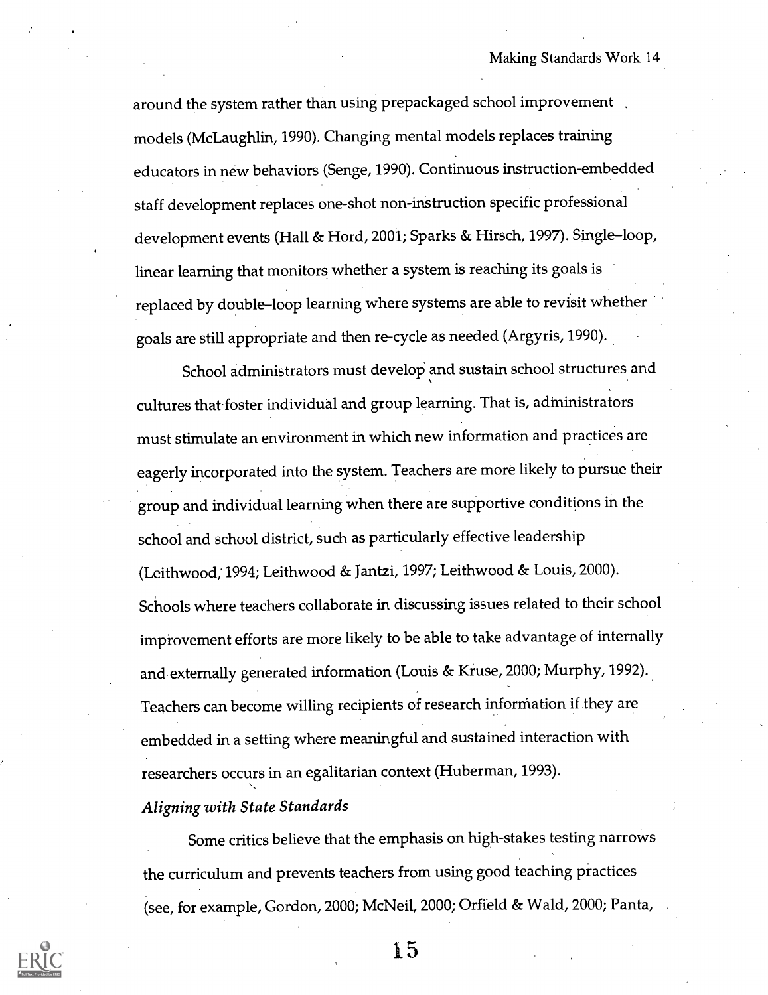around the system rather than using prepackaged school improvement models (McLaughlin, 1990). Changing mental models replaces training educators in new behaviors (Senge, 1990). Continuous instruction-embedded staff development replaces one-shot non-instruction specific professional development events (Hall & Hord, 2001; Sparks & Hirsch, 1997). Single-loop, linear learning that monitors whether a system is reaching its goals is replaced by double-loop learning where systems are able to revisit whether goals are still appropriate and then re-cycle as needed (Argyris, 1990).

School administrators must develop and sustain school structures and cultures that foster individual and group learning. That is, administrators must stimulate an environment in which new information and practices are eagerly incorporated into the system. Teachers are more likely to pursue their group and individual learning when there are supportive conditions in the school and school district, such as particularly effective leadership (Leithwood; 1994; Leithwood & Jantzi, 1997; Leithwood & Louis, 2000). Schools where teachers collaborate in discussing issues related to their school improvement efforts are more likely to be able to take advantage of internally and externally generated information (Louis & Kruse, 2000; Murphy, 1992). Teachers can become willing recipients of research information if they are embedded in a setting where meaningful and sustained interaction with researchers occurs in an egalitarian context (Huberman, 1993).

#### Aligning with State Standards

Some critics believe that the emphasis on high-stakes testing narrows the curriculum and prevents teachers from using good teaching practices (see, for example, Gordon, 2000; McNeil, 2000; Orfield & Wald, 2000; Panta,

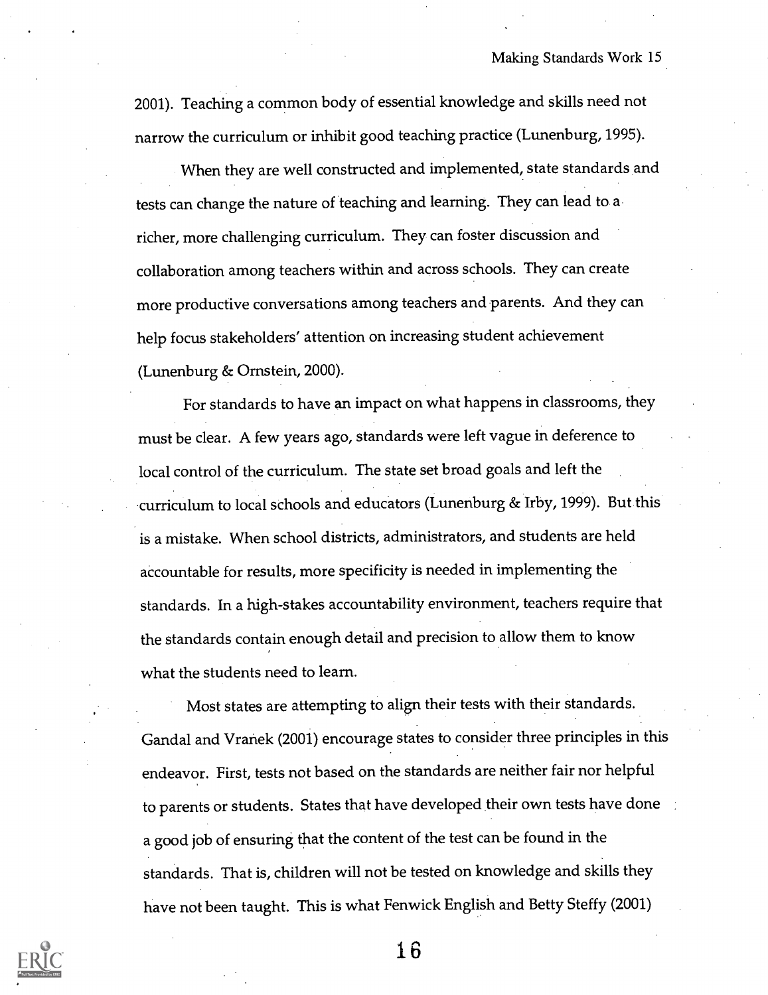Making Standards Work 15

2001). Teaching a common body of essential knowledge and skills need not narrow the curriculum or inhibit good teaching practice (Lunenburg, 1995).

When they are well constructed and implemented, state standards and tests can change the nature of teaching and learning. They can lead to a richer, more challenging curriculum. They can foster discussion and collaboration among teachers within and across schools. They can create more productive conversations among teachers and parents. And they can help focus stakeholders' attention on increasing student achievement (Lunenburg & Ornstein, 2000).

For standards to have an impact on what happens in classrooms, they must be clear. A few years ago, standards were left vague in deference to local control of the curriculum. The state set broad goals and left the curriculum to local schools and educators (Lunenburg & Irby, 1999). But this is a mistake. When school districts, administrators, and students are held accountable for results, more specificity is needed in implementing the standards. In a high-stakes accountability environment, teachers require that the standards contain enough detail and precision to allow them to know what the students need to learn.

Most states are attempting to align their tests with their standards. Gandal and Vranek (2001) encourage states to consider three principles in this endeavor. First, tests not based on the standards are neither fair nor helpful to parents or students. States that have developed their own tests have done a good job of ensuring that the content of the test can be found in the standards. That is, children will not be tested on knowledge and skills they have not been taught. This is what Fenwick English and Betty Steffy (2001)

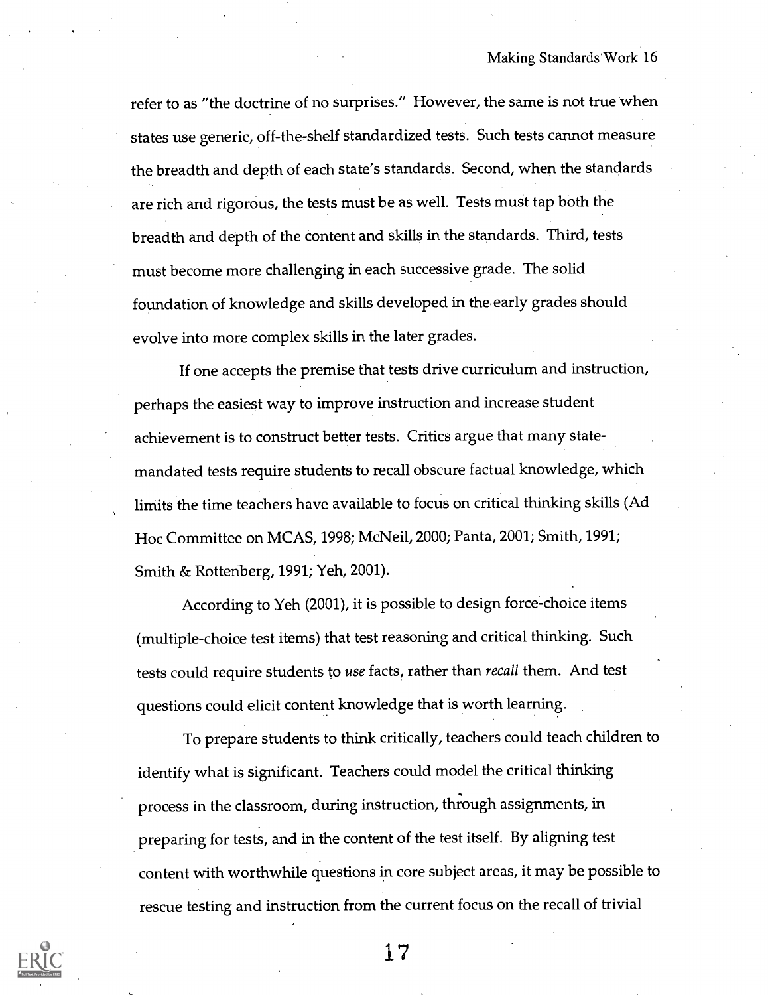refer to as "the doctrine of no surprises." However, the same is not true when states use generic, off-the-shelf standardized tests. Such tests cannot measure the breadth and depth of each state's standards. Second, when the standards are rich and rigorous, the tests must be as well. Tests must tap both the breadth and depth of the content and skills in the standards. Third, tests must become more challenging in each successive grade. The solid foundation of knowledge and skills developed in the early grades should evolve into more complex skills in the later grades.

If one accepts the premise that tests drive curriculum and instruction, perhaps the easiest way to improve instruction and increase student achievement is to construct better tests. Critics argue that many statemandated tests require students to recall obscure factual knowledge, which limits the time teachers have available to focus on critical thinking skills (Ad Hoc Committee on MCAS, 1998; McNeil, 2000; Panta, 2001; Smith, 1991; Smith & Rottenberg, 1991; Yeh, 2001).

According to Yeh (2001), it is possible to design force-choice items (multiple-choice test items) that test reasoning and critical thinking. Such tests could require students to use facts, rather than *recall* them. And test questions could elicit content knowledge that is worth learning.

To prepare students to think critically, teachers could teach children to identify what is significant. Teachers could model the critical thinking process in the classroom, during instruction, through assignments, in preparing for tests, and in the content of the test itself. By aligning test content with worthwhile questions in core subject areas, it may be possible to rescue testing and instruction from the current focus on the recall of trivial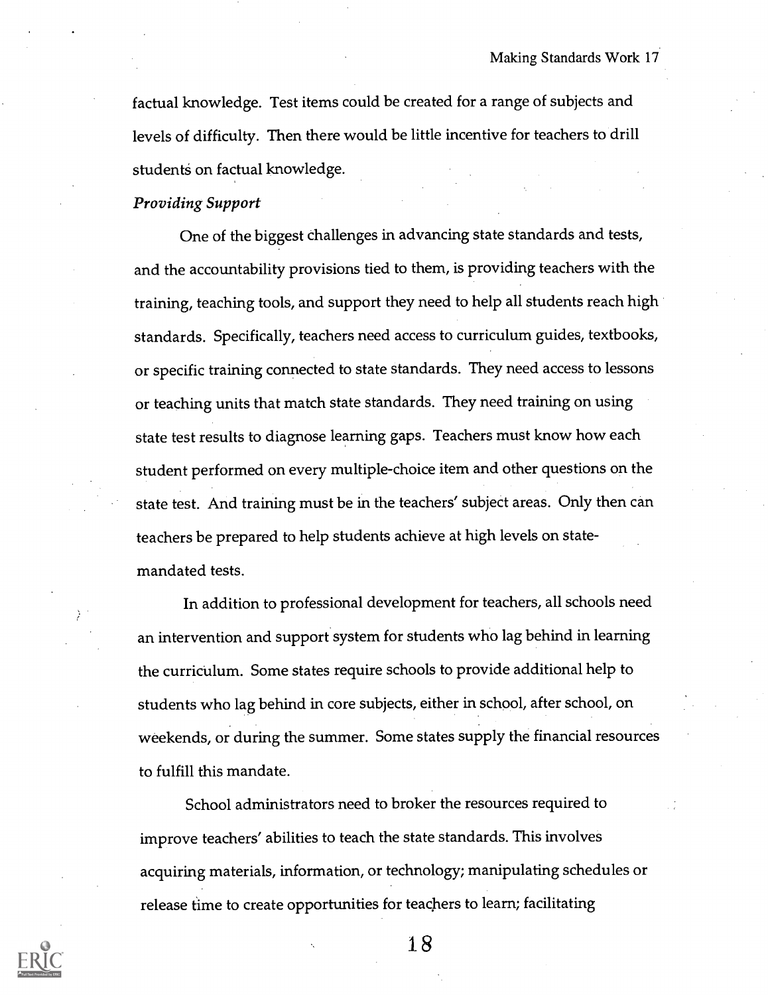factual knowledge. Test items could be created for a range of subjects and levels of difficulty. Then there would be little incentive for teachers to drill students on factual knowledge.

#### Providing Support

One of the biggest challenges in advancing state standards and tests, and the accountability provisions tied to them, is providing teachers with the training, teaching tools, and support they need to help all students reach high standards. Specifically, teachers need access to curriculum guides, textbooks, or specific training connected to state standards. They need access to lessons or teaching units that match state standards. They need training on using state test results to diagnose learning gaps. Teachers must know how each student performed on every multiple-choice item and other questions on the state test. And training must be in the teachers' subject areas. Only then can teachers be prepared to help students achieve at high levels on statemandated tests.

In addition to professional development for teachers, all schools need an intervention and support system for students who lag behind in learning the curriculum. Some states require schools to provide additional help to students who lag behind in core subjects, either in school, after school, on weekends, or during the summer. Some states supply the financial resources to fulfill this mandate.

School administrators need to broker the resources required to improve teachers' abilities to teach the state standards. This involves acquiring materials, information, or technology; manipulating schedules or release time to create opportunities for teachers to learn; facilitating

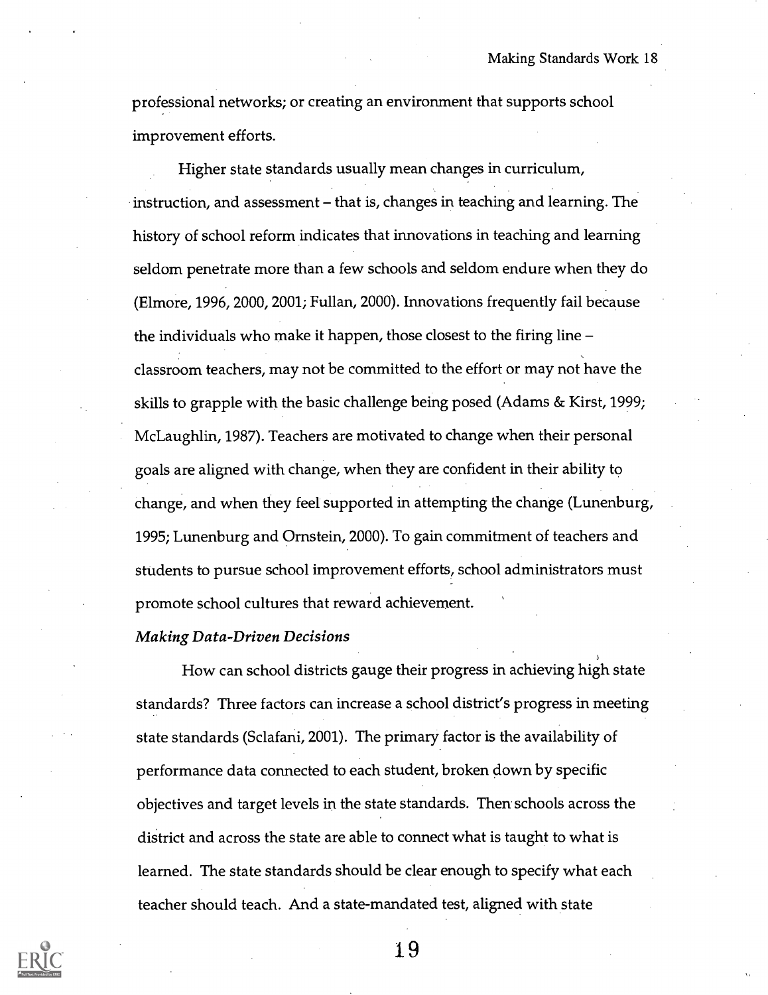professional networks; or creating an environment that supports school improvement efforts.

Higher state standards usually mean changes in curriculum, instruction, and assessment – that is, changes in teaching and learning. The history of school reform indicates that innovations in teaching and learning seldom penetrate more than a few schools and seldom endure when they do (Elmore, 1996, 2000, 2001; Fullan, 2000). Innovations frequently fail because the individuals who make it happen, those closest to the firing line classroom teachers, may not be committed to the effort or may not have the skills to grapple with the basic challenge being posed (Adams & Kirst, 1999; McLaughlin, 1987). Teachers are motivated to change when their personal goals are aligned with change, when they are confident in their ability to change, and when they feel supported in attempting the change (Lunenburg, 1995; Lunenburg and Ornstein, 2000). To gain commitment of teachers and students to pursue school improvement efforts, school administrators must promote school cultures that reward achievement.

#### Making Data-Driven Decisions

How can school districts gauge their progress in achieving high state standards? Three factors can increase a school district's progress in meeting state standards (Sclafani, 2001). The primary factor is the availability of performance data connected to each student, broken down by specific objectives and target levels in the state standards. Then schools across the district and across the state are able to connect what is taught to what is learned. The state standards should be clear enough to specify what each teacher should teach. And a state-mandated test, aligned with state

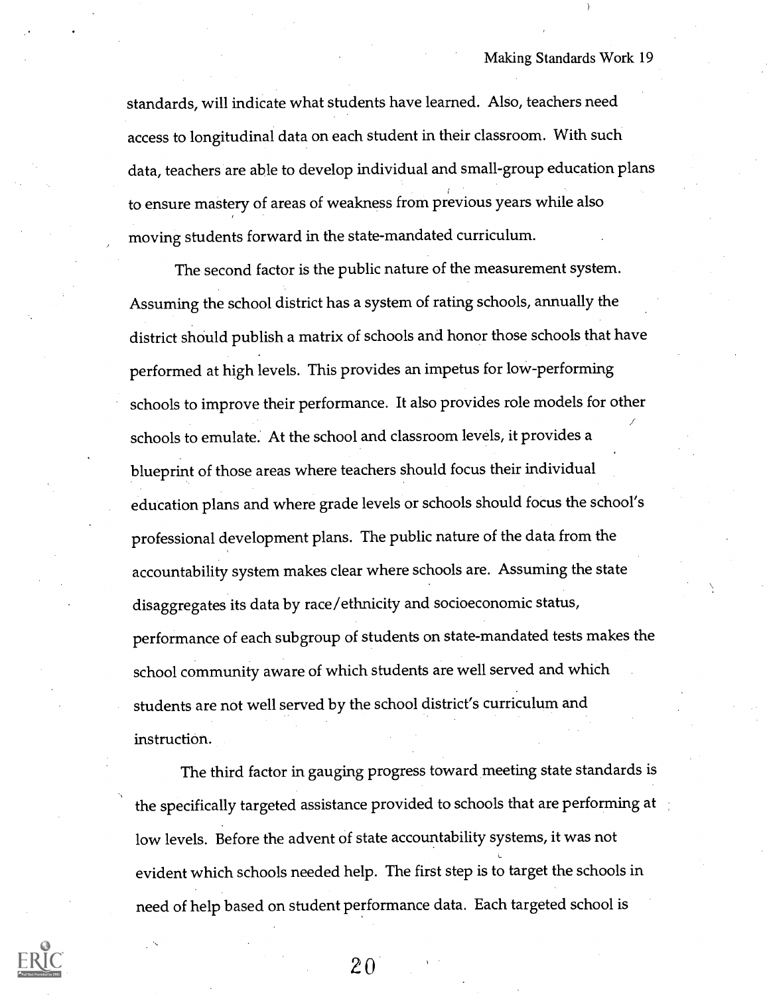standards, will indicate what students have learned. Also, teachers need access to longitudinal data on each student in their classroom. With such data, teachers are able to develop individual and small-group education plans to ensure mastery of areas of weakness from previous years while also moving students forward in the state-mandated curriculum.

The second factor is the public nature of the measurement system. Assuming the school district has a system of rating schools, annually the district should publish a matrix of schools and honor those schools that have performed at high levels. This provides an impetus for low-performing schools to improve their performance. It also provides role models for other schools to emulate: At the school and classroom levels, it provides a blueprint of those areas where teachers should focus their individual education plans and where grade levels or schools should focus the school's professional development plans. The public nature of the data from the accountability system makes clear where schools are. Assuming the state disaggregates its data by race/ethnicity and socioeconomic status, performance of each subgroup of students on state-mandated tests makes the school community aware of which students are well served and which students are not well served by the school district's curriculum and instruction.

The third factor in gauging progress toward meeting state standards is the specifically targeted assistance provided to schools that are performing at low levels. Before the advent of state accountability systems, it was not L evident which schools needed help. The first step is to target the schools in need of help based on student performance data. Each targeted school is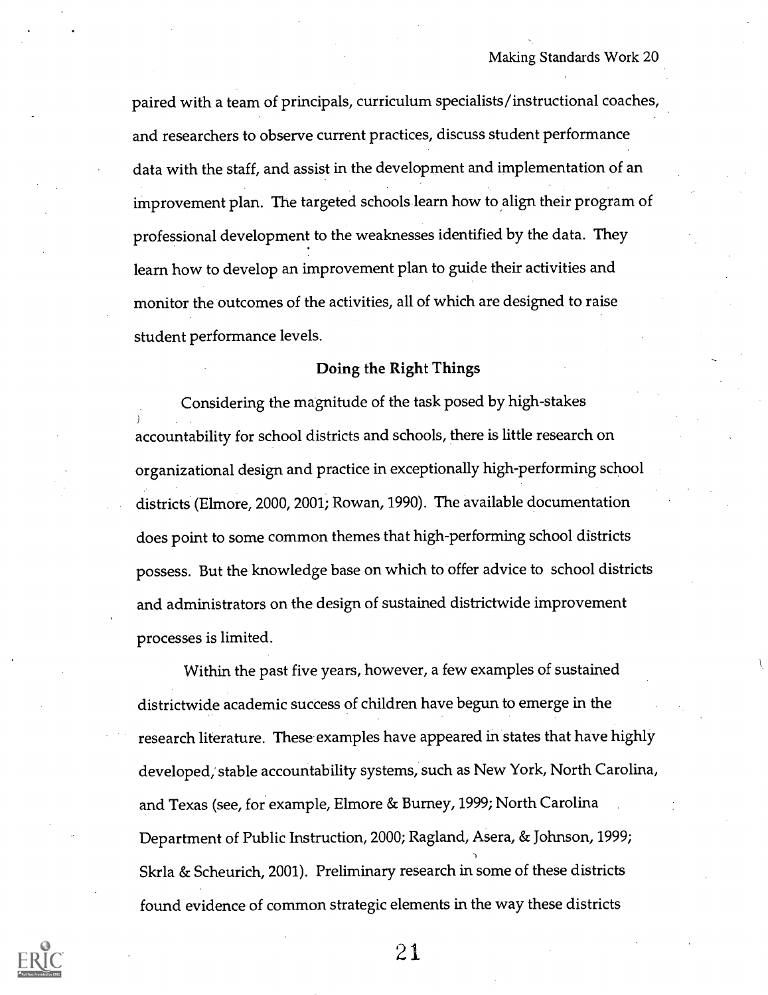paired with a team of principals, curriculum specialists/instructional coaches, and researchers to observe current practices, discuss student performance data with the staff, and assist in the development and implementation of an improvement plan. The targeted schools learn how to align their program of professional development to the weaknesses identified by the data. They learn how to develop an improvement plan to guide their activities and monitor the outcomes of the activities, all of which are designed to raise student performance levels.

#### Doing the Right Things

Considering the magnitude of the task posed by high-stakes accountability for school districts and schools, there is little research on organizational design and practice in exceptionally high-performing school districts (Elmore, 2000, 2001; Rowan, 1990). The available documentation does point to some common themes that high-performing school districts possess. But the knowledge base on which to offer advice to school districts and administrators on the design of sustained districtwide improvement processes is limited.

Within the past five years, however, a few examples of sustained districtwide academic success of children have begun to emerge in the research literature. These examples have appeared in states that have highly developed; stable accountability systems, such as New York, North Carolina, and Texas (see, for example, Elmore & Burney, 1999; North Carolina Department of Public Instruction, 2000; Ragland, Asera, & Johnson, 1999; Skrla & Scheurich, 2001). Preliminary research in some of these districts found evidence of common strategic elements in the way these districts

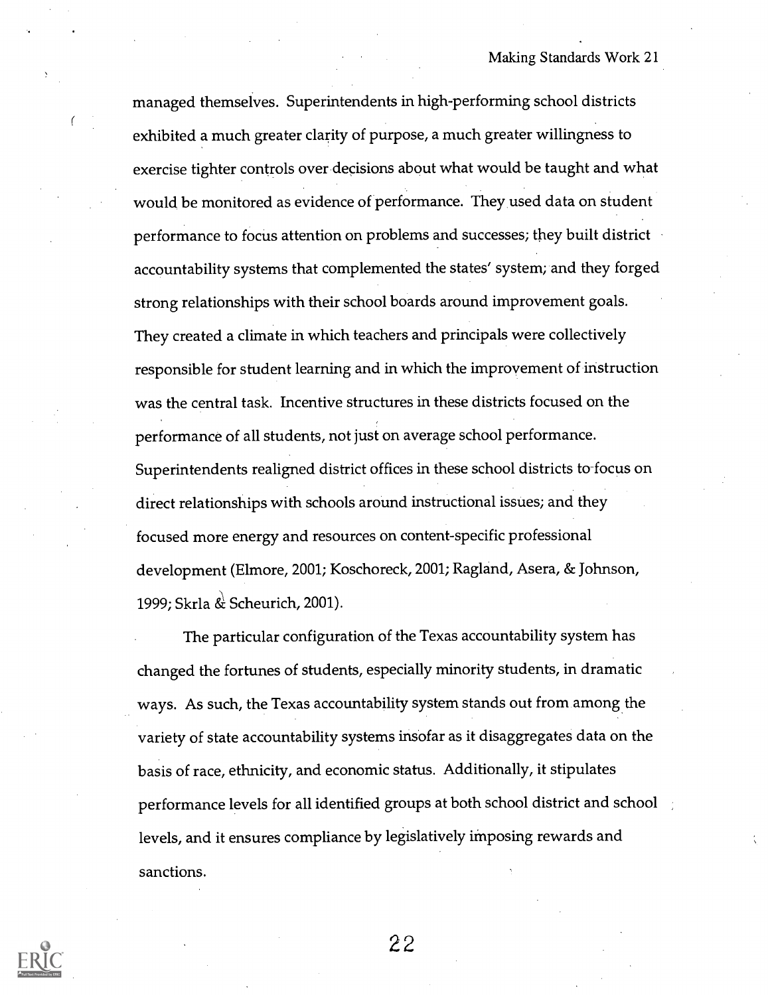managed themselves. Superintendents in high-performing school districts exhibited a much greater clarity of purpose, a much greater willingness to exercise tighter controls over decisions about what would be taught and what would be monitored as evidence of performance. They used data on student performance to focus attention on problems and successes; they built district accountability systems that complemented the states' system; and they forged strong relationships with their school boards around improvement goals. They created a climate in which teachers and principals were collectively responsible for student learning and in which the improvement of instruction was the central task. Incentive structures in these districts focused on the performance of all students, not just on average school performance. Superintendents realigned district offices in these school districts to-focus on direct relationships with schools around instructional issues; and they focused more energy and resources on content-specific professional development (Elmore, 2001; Koschoreck, 2001; Ragland, Asera, & Johnson, 1999; Skrla & Scheurich, 2001).

The particular configuration of the Texas accountability system has changed the fortunes of students, especially minority students, in dramatic ways. As such, the Texas accountability system stands out from among the variety of state accountability systems insofar as it disaggregates data on the basis of race, ethnicity, and economic status. Additionally, it stipulates performance levels for all identified groups at both school district and school levels, and it ensures compliance by legislatively imposing rewards and sanctions.

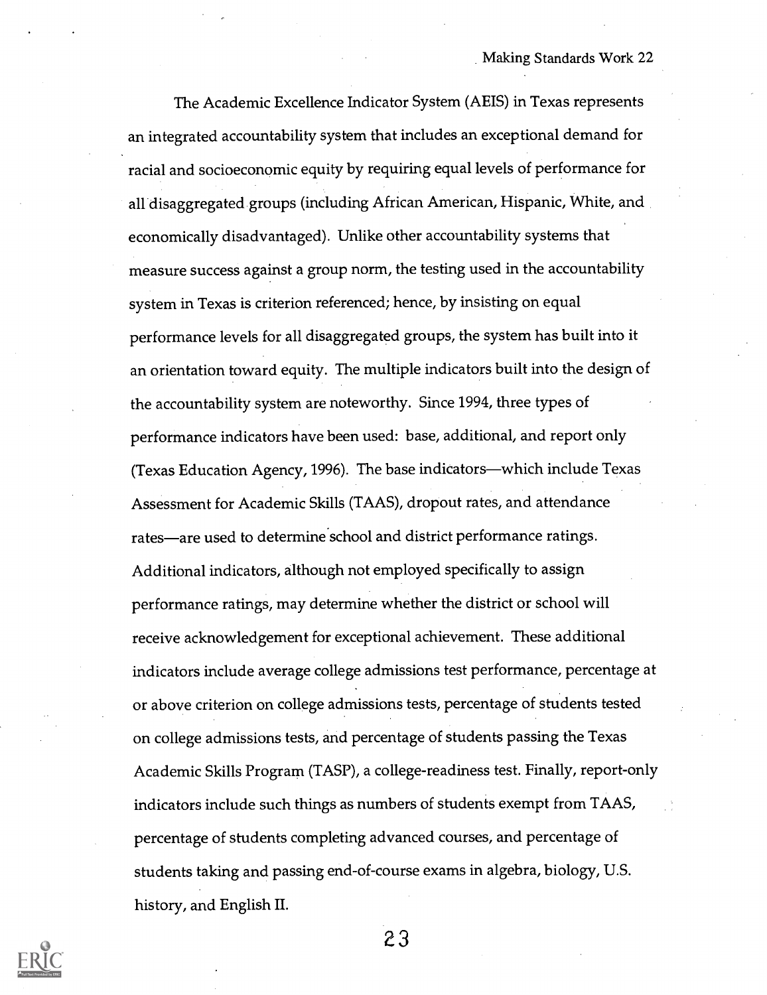The Academic Excellence Indicator System (AEIS) in Texas represents an integrated accountability system that includes an exceptional demand for racial and socioeconomic equity by requiring equal levels of performance for all disaggregated groups (including African American, Hispanic, White, and economically disadvantaged). Unlike other accountability systems that measure success against a group norm, the testing used in the accountability system in Texas is criterion referenced; hence, by insisting on equal performance levels for all disaggregated groups, the system has built into it an orientation toward equity. The multiple indicators built into the design of the accountability system are noteworthy. Since 1994, three types of performance indicators have been used: base, additional, and report only (Texas Education Agency, 1996). The base indicators—which include Texas Assessment for Academic Skills (TAAS), dropout rates, and attendance rates—are used to determine school and district performance ratings. Additional indicators, although not employed specifically to assign performance ratings, may determine whether the district or school will receive acknowledgement for exceptional achievement. These additional indicators include average college admissions test performance, percentage at or above criterion on college admissions tests, percentage of students tested on college admissions tests, and percentage of students passing the Texas Academic Skills Program (TASP), a college-readiness test. Finally, report-only indicators include such things as numbers of students exempt from TAAS, percentage of students completing advanced courses, and percentage of students taking and passing end-of-course exams in algebra, biology, U.S. history, and English II.

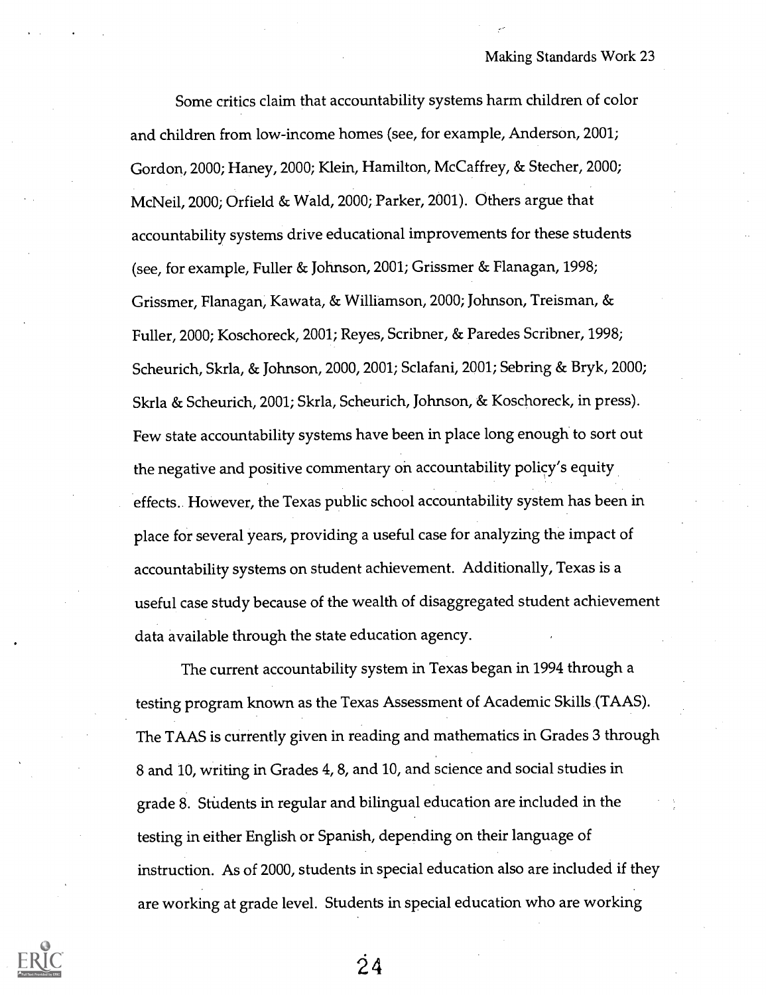Some critics claim that accountability systems harm children of color and children from low-income homes (see, for example, Anderson, 2001; Gordon, 2000; Haney, 2000; Klein, Hamilton, McCaffrey, & Stecher, 2000; McNeil, 2000; Orfield & Wald, 2000; Parker, 2001). Others argue that accountability systems drive educational improvements for these students (see, for example, Fuller & Johnson, 2001; Grissmer & Flanagan, 1998; Grissmer, Flanagan, Kawata, & Williamson, 2000; Johnson, Treisman, & Fuller, 2000; Koschoreck, 2001; Reyes, Scribner, & Paredes Scribner, 1998; Scheurich, Skrla, & Johnson, 2000, 2001; Sclafani, 2001; Sebring & Bryk, 2000; Skrla & Scheurich, 2001; Skrla, Scheurich, Johnson, & Koschoreck, in press). Few state accountability systems have been in place long enough to sort out the negative and positive commentary on accountability policy's equity effects. However, the Texas public school accountability system has been in place for several years, providing a useful case for analyzing the impact of accountability systems on student achievement. Additionally, Texas is a useful case study because of the wealth of disaggregated student achievement data available through the state education agency.

The current accountability system in Texas began in 1994 through a testing program known as the Texas Assessment of Academic Skills (TAAS). The TAAS is currently given in reading and mathematics in Grades 3 through 8 and 10, writing in Grades 4, 8, and 10, and science and social studies in grade 8. StUdents in regular and bilingual education are included in the testing in either English or Spanish, depending on their language of instruction. As of 2000, students in special education also are included if they are working at grade level. Students in special education who are working



 $\dot{2}$  4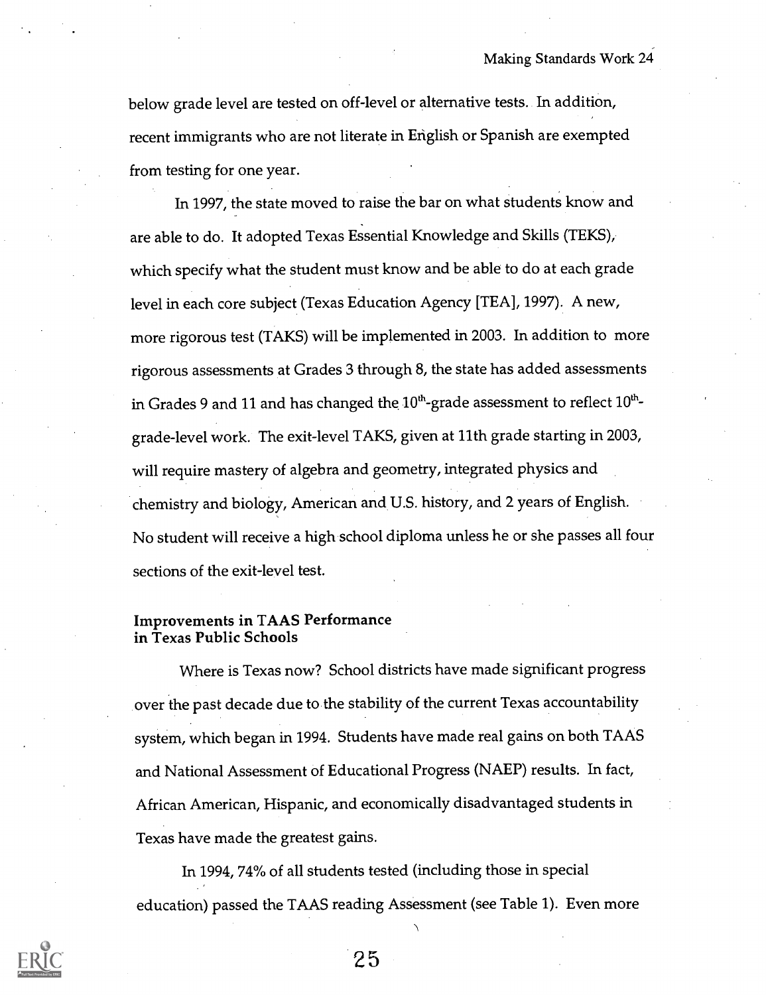below grade level are tested on off-level or alternative tests. In addition, recent immigrants who are not literate in English or Spanish are exempted from testing for one year.

In 1997, the state moved to raise the bar on what students know and are able to do. It adopted Texas Essential Knowledge and Skills (TEKS), which specify what the student must know and be able to do at each grade level in each core subject (Texas Education Agency [TEA], 1997). A new, more rigorous test (TAKS) will be implemented in 2003. In addition to more rigorous assessments at Grades 3 through 8, the state has added assessments in Grades 9 and 11 and has changed the  $10^{th}$ -grade assessment to reflect  $10^{th}$ grade-level work. The exit-level TAKS, given at 11th grade starting in 2003, will require mastery of algebra and geometry, integrated physics and chemistry and biology, American and U.S. history, and 2 years of English. No student will receive a high school diploma unless he or she passes all four sections of the exit-level test.

#### Improvements in TAAS Performance in Texas Public Schools

Where is Texas now? School districts have made significant progress over the past decade due to the stability of the current Texas accountability system, which began in 1994. Students have made real gains on both TAAS and National Assessment of Educational Progress (NAEP) results. In fact, African American, Hispanic, and economically disadvantaged students in Texas have made the greatest gains.

In 1994, 74% of all students tested (including those in special education) passed the TAAS reading Assessment (see Table 1). Even more

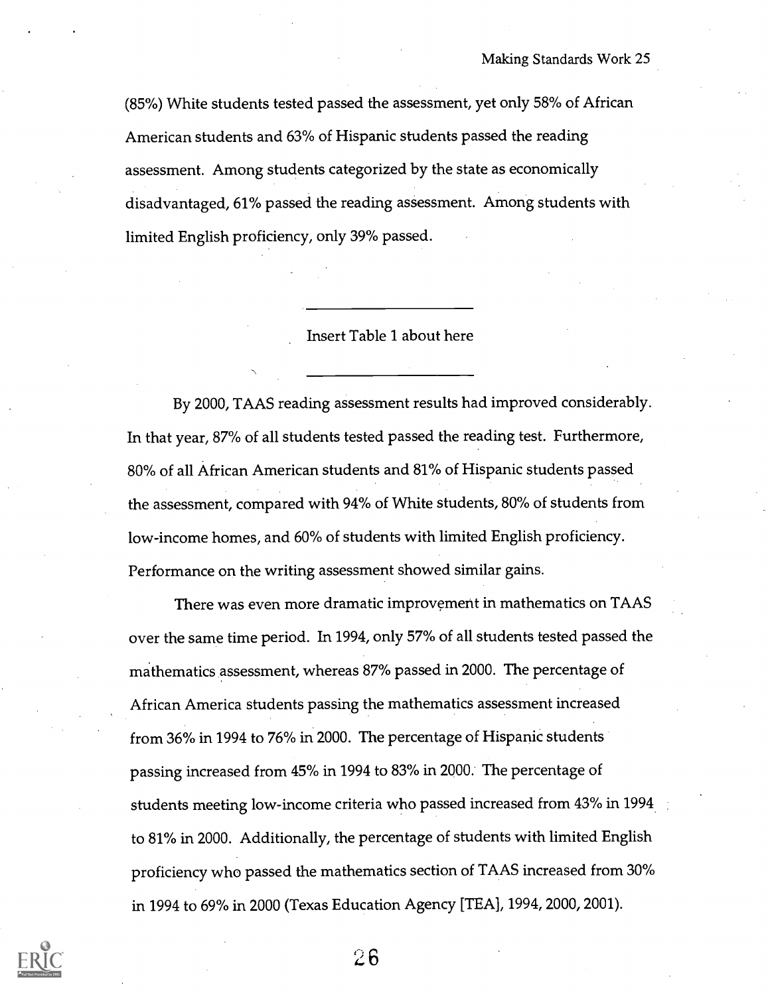(85%) White students tested passed the assessment, yet only 58% of African American students and 63% of Hispanic students passed the reading assessment. Among students categorized by the state as economically disadvantaged, 61% passed the reading assessment. Among students with limited English proficiency, only 39% passed.

Insert Table 1 about here

By 2000, TAAS reading assessment results had improved considerably. In that year, 87% of all students tested passed the reading test. Furthermore, 80% of all African American students and 81% of Hispanic students passed the assessment, compared with 94% of White students, 80% of students from low-income homes, and 60% of students with limited English proficiency. Performance on the writing assessment showed similar gains.

There was even more dramatic improvement in mathematics on TAAS over the same time period. In 1994, only 57% of all students tested passed the mathematics assessment, whereas 87% passed in 2000. The percentage of African America students passing the mathematics assessment increased from 36% in 1994 to 76% in 2000. The percentage of Hispanic students passing increased from 45% in 1994 to 83% in 2000: The percentage of students meeting low-income criteria who passed increased from 43% in 1994 to 81% in 2000. Additionally, the percentage of students with limited English proficiency who passed the mathematics section of TAAS increased from 30% in 1994 to 69% in 2000 (Texas Education Agency [TEA], 1994, 2000, 2001).

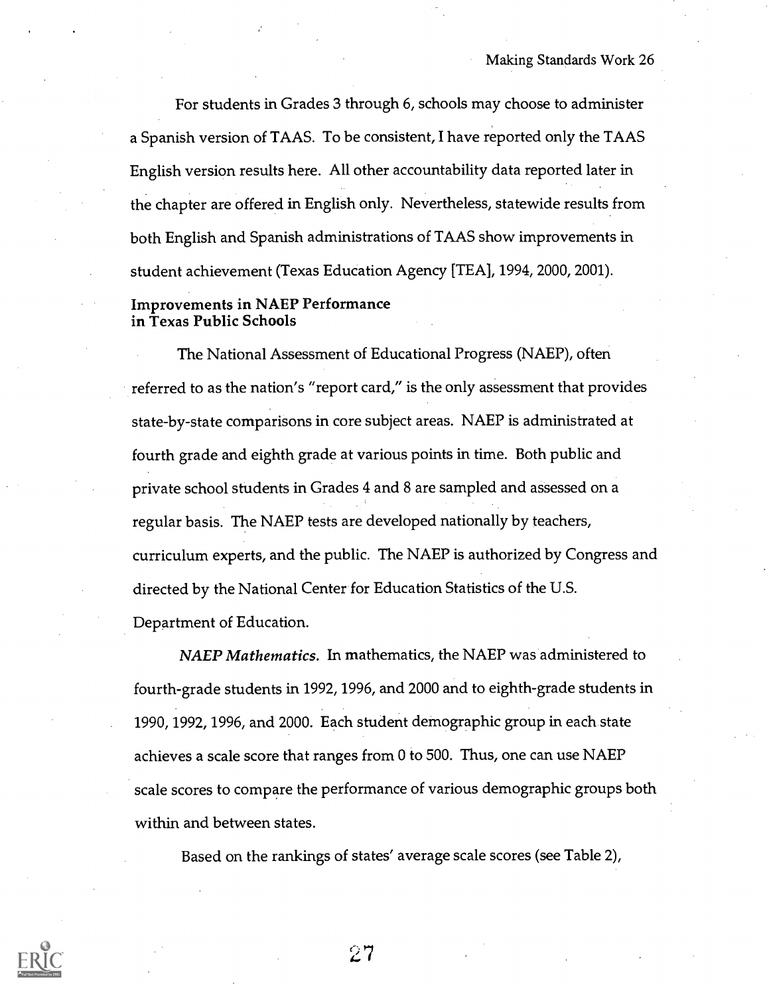For students in Grades 3 through 6, schools may choose to administer a Spanish version of TAAS. To be consistent, I have reported only the TAAS English version results here. All other accountability data reported later in the chapter are offered in English only. Nevertheless, statewide results from both English and Spanish administrations of TAAS show improvements in student achievement (Texas Education Agency [TEA], 1994, 2000, 2001).

#### Improvements in NAEP Performance in Texas Public Schools

The National Assessment of Educational Progress (NAEP), often referred to as the nation's "report card," is the only assessment that provides state-by-state comparisons in core subject areas. NAEP is administrated at fourth grade and eighth grade at various points in time. Both public and private school students in Grades 4 and 8 are sampled and assessed on a regular basis. The NAEP tests are developed nationally by teachers, curriculum experts, and the public. The NAEP is authorized by Congress and directed by the National Center for Education Statistics of the U.S. Department of Education.

NAEP Mathematics. In mathematics, the NAEP was administered to fourth-grade students in 1992, 1996, and 2000 and to eighth-grade students in 1990, 1992, 1996, and 2000. Each student demographic group in each state achieves a scale score that ranges from 0 to 500. Thus, one can use NAEP scale scores to compare the performance of various demographic groups both within and between states.

Based on the rankings of states' average scale scores (see Table 2),

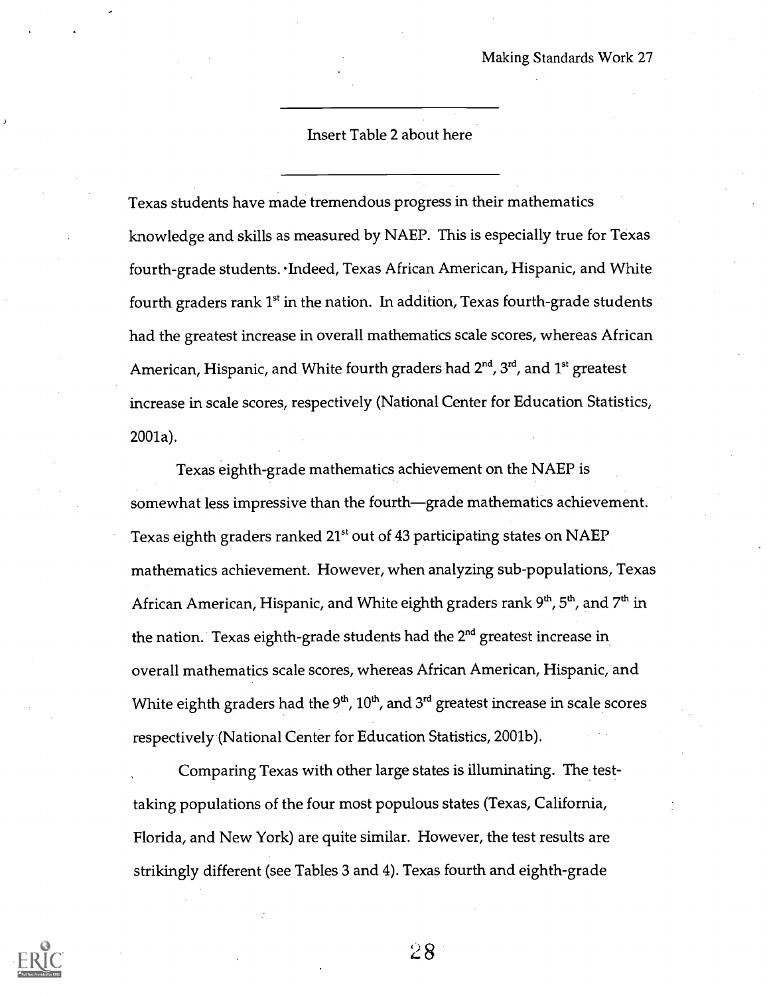#### Insert Table 2 about here

Texas students have made tremendous progress in their mathematics knowledge and skills as measured by NAEP. This is especially true for Texas fourth-grade students. Indeed, Texas African American, Hispanic, and White fourth graders rank 1<sup>st</sup> in the nation. In addition, Texas fourth-grade students had the greatest increase in overall mathematics scale scores, whereas African American, Hispanic, and White fourth graders had  $2^{nd}$ ,  $3^{rd}$ , and  $1^{st}$  greatest increase in scale scores, respectively (National Center for Education Statistics, 2001a).

Texas eighth-grade mathematics achievement on the NAEP is somewhat less impressive than the fourth—grade mathematics achievement. Texas eighth graders ranked 21<sup>st</sup> out of 43 participating states on NAEP mathematics achievement. However, when analyzing sub-populations, Texas African American, Hispanic, and White eighth graders rank 9<sup>th</sup>, 5<sup>th</sup>, and 7<sup>th</sup> in the nation. Texas eighth-grade students had the 2<sup>nd</sup> greatest increase in overall mathematics scale scores, whereas African American, Hispanic, and White eighth graders had the  $9<sup>th</sup>$ , 10<sup>th</sup>, and 3<sup>rd</sup> greatest increase in scale scores respectively (National Center for Education Statistics, 2001b).

Comparing Texas with other large states is illuminating. The testtaking populations of the four most populous states (Texas, California, Florida, and New York) are quite similar. However, the test results are strikingly different (see Tables 3 and 4). Texas fourth and eighth-grade

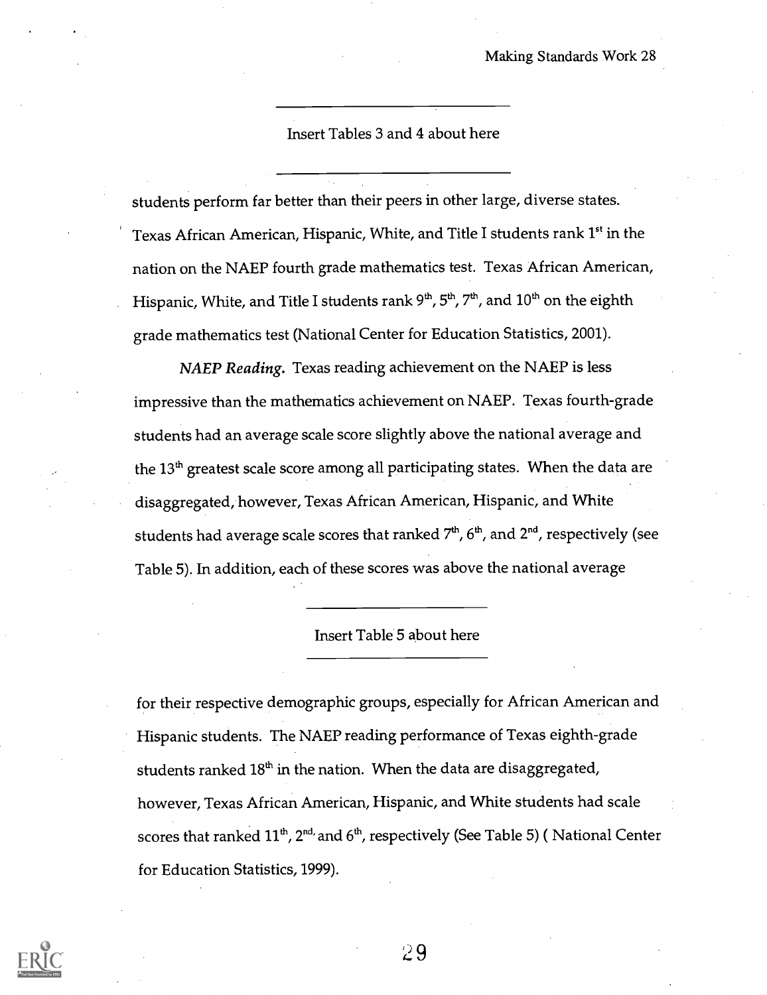Insert Tables 3 and 4 about here

students perform far better than their peers in other large, diverse states. Texas African American, Hispanic, White, and Title I students rank 1<sup>st</sup> in the nation on the NAEP fourth grade mathematics test. Texas African American, Hispanic, White, and Title I students rank  $9<sup>th</sup>$ ,  $5<sup>th</sup>$ ,  $7<sup>th</sup>$ , and  $10<sup>th</sup>$  on the eighth grade mathematics test (National Center for Education Statistics, 2001).

NAEP Reading. Texas reading achievement on the NAEP is less impressive than the mathematics achievement on NAEP. Texas fourth-grade students had an average scale score slightly above the national average and the  $13<sup>th</sup>$  greatest scale score among all participating states. When the data are disaggregated, however, Texas African American, Hispanic, and White students had average scale scores that ranked  $7<sup>th</sup>$ ,  $6<sup>th</sup>$ , and  $2<sup>nd</sup>$ , respectively (see Table 5). In addition, each of these scores was above the national average

#### Insert Table 5 about here

for their respective demographic groups, especially for African American and Hispanic students. The NAEP reading performance of Texas eighth-grade students ranked  $18<sup>th</sup>$  in the nation. When the data are disaggregated, however, Texas African American, Hispanic, and White students had scale scores that ranked  $11^{th}$ ,  $2^{nd}$  and  $6^{th}$ , respectively (See Table 5) (National Center for Education Statistics, 1999).

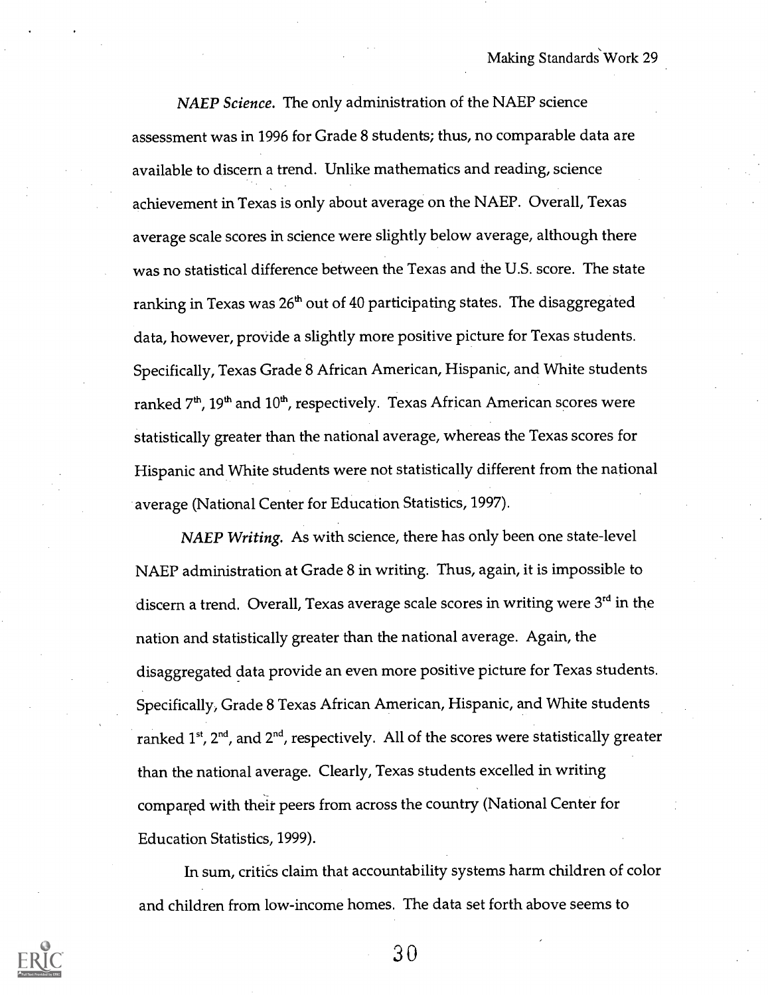NAEP Science. The only administration of the NAEP science assessment was in 1996 for Grade 8 students; thus, no comparable data are available to discern a trend. Unlike mathematics and reading, science achievement in Texas is only about average on the NAEP. Overall, Texas average scale scores in science were slightly below average, although there was no statistical difference between the Texas and the U.S. score. The state ranking in Texas was  $26<sup>th</sup>$  out of 40 participating states. The disaggregated data, however, provide a slightly more positive picture for Texas students. Specifically, Texas Grade 8 African American, Hispanic, and White students ranked  $7<sup>th</sup>$ , 19<sup>th</sup> and  $10<sup>th</sup>$ , respectively. Texas African American scores were statistically greater than the national average, whereas the Texas scores for Hispanic and White students were not statistically different from the national average (National Center for Education Statistics, 1997).

NAEP Writing. As with science, there has only been one state-level NAEP administration at Grade 8 in writing. Thus, again, it is impossible to discern a trend. Overall, Texas average scale scores in writing were 3<sup>rd</sup> in the nation and statistically greater than the national average. Again, the disaggregated data provide an even more positive picture for Texas students. Specifically, Grade 8 Texas African American, Hispanic, and White students ranked  $1^{st}$ ,  $2^{nd}$ , and  $2^{nd}$ , respectively. All of the scores were statistically greater than the national average. Clearly, Texas students excelled in writing compared with their peers from across the country (National Center for Education Statistics, 1999).

In sum, critics claim that accountability systems harm children of color and children from low-income homes. The data set forth above seems to

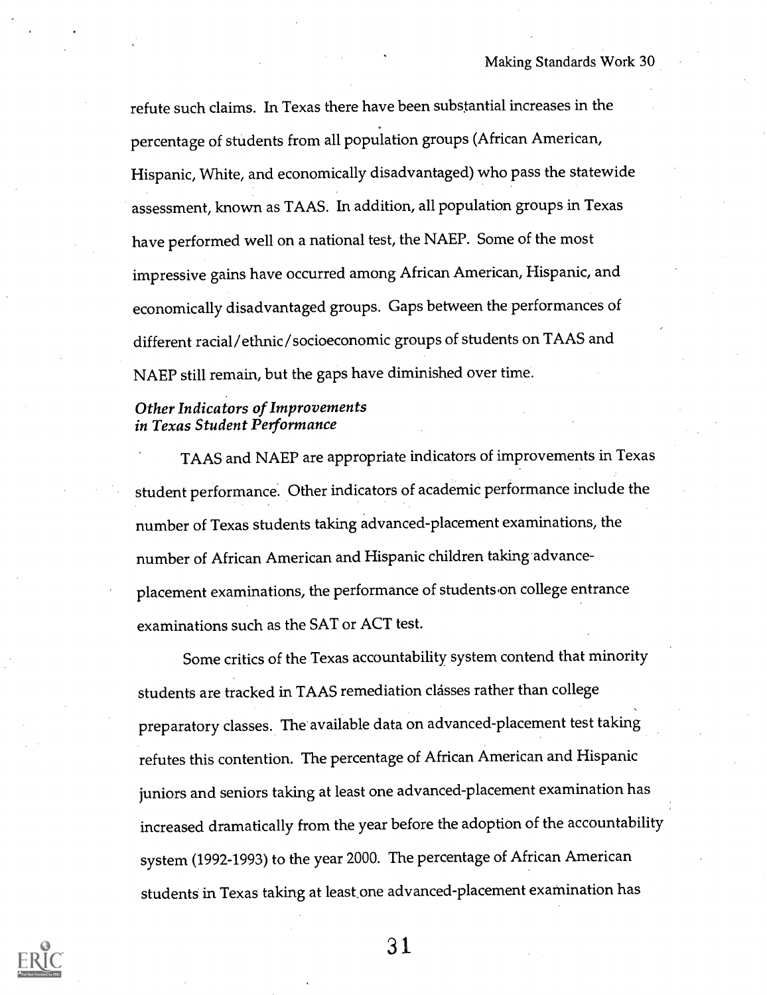refute such claims. In Texas there have been substantial increases in the percentage of students from all population groups (African American, Hispanic, White, and economically disadvantaged) who pass the statewide assessment, known as TAAS. In addition, all population groups in Texas have performed well on a national test, the NAEP. Some of the most impressive gains have occurred among African American, Hispanic, and economically disadvantaged groups. Gaps between the performances of different racial/ethnic/socioeconomic groups of students on TAAS and NAEP still remain, but the gaps have diminished over time.

#### Other Indicators of Improvements in Texas Student Performance

TAAS and NAEP are appropriate indicators of improvements in Texas student performance. Other indicators of academic performance include the number of Texas students taking advanced-placement examinations, the number of African American and Hispanic children taking advanceplacement examinations, the performance of students on college entrance examinations such as the SAT or ACT test.

Some critics of the Texas accountability system contend that minority students are tracked in TAAS remediation classes rather than college preparatory classes. The available data on advanced-placement test taking refutes this contention. The percentage of African American and Hispanic juniors and seniors taking at least one advanced-placement examination has increased dramatically from the year before the adoption of the accountability system (1992-1993) to the year 2000. The percentage of African American students in Texas taking at least one advanced-placement examination has

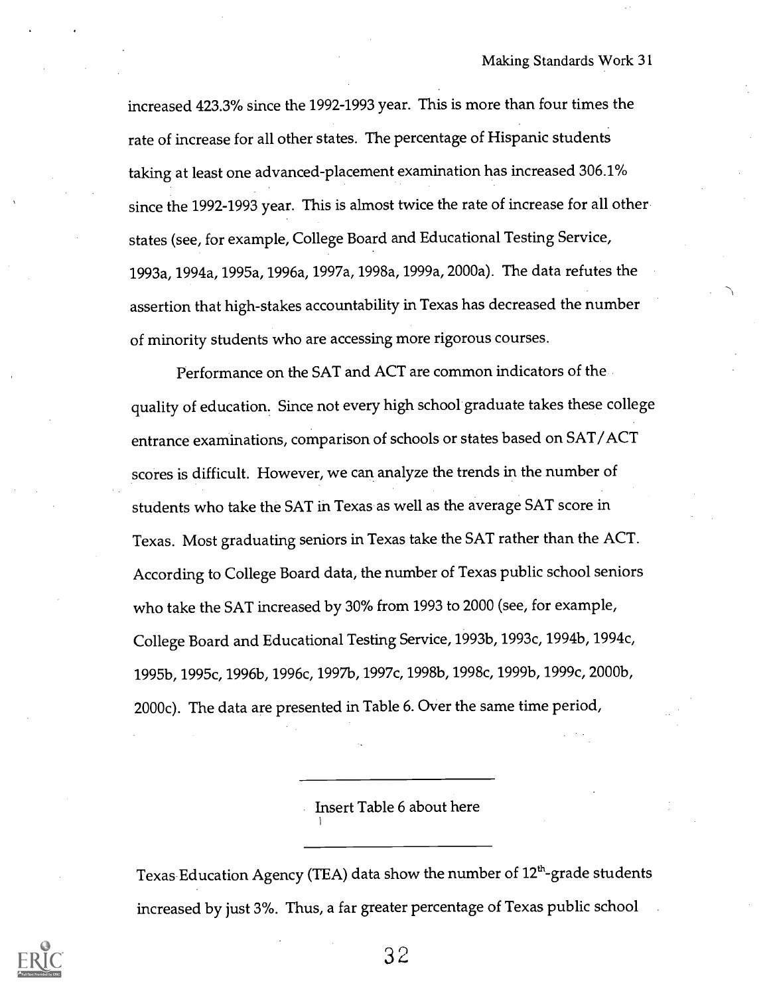increased 423.3% since the 1992-1993 year. This is more than four times the rate of increase for all other states. The percentage of Hispanic students taking at least one advanced-placement examination has increased 306.1% since the 1992-1993 year. This is almost twice the rate of increase for all other states (see, for example, College Board and Educational Testing Service, 1993a, 1994a, 1995a, 1996a, 1997a, 1998a, 1999a, 2000a). The data refutes the assertion that high-stakes accountability in Texas has decreased the number of minority students who are accessing more rigorous courses.

Performance on the SAT and ACT are common indicators of the quality of education. Since not every high school graduate takes these college entrance examinations, comparison of schools or states based on SAT/ACT scores is difficult. However, we can analyze the trends in the number of students who take the SAT in Texas as well as the average SAT score in Texas. Most graduating seniors in Texas take the SAT rather than the ACT. According to College Board data, the number of Texas public school seniors who take the SAT increased by 30% from 1993 to 2000 (see, for example, College Board and Educational Testing Service, 1993b, 1993c, 1994b, 1994c, 1995b, 1995c, 1996b, 1996c, 1997b, 1997c, 1998b, 1998c, 1999b, 1999c, 2000b, 2000c). The data are presented in Table 6. Over the same time period,

Insert Table 6 about here

Texas Education Agency (TEA) data show the number of 12<sup>th</sup>-grade students increased by just 3%. Thus, a far greater percentage of Texas public school

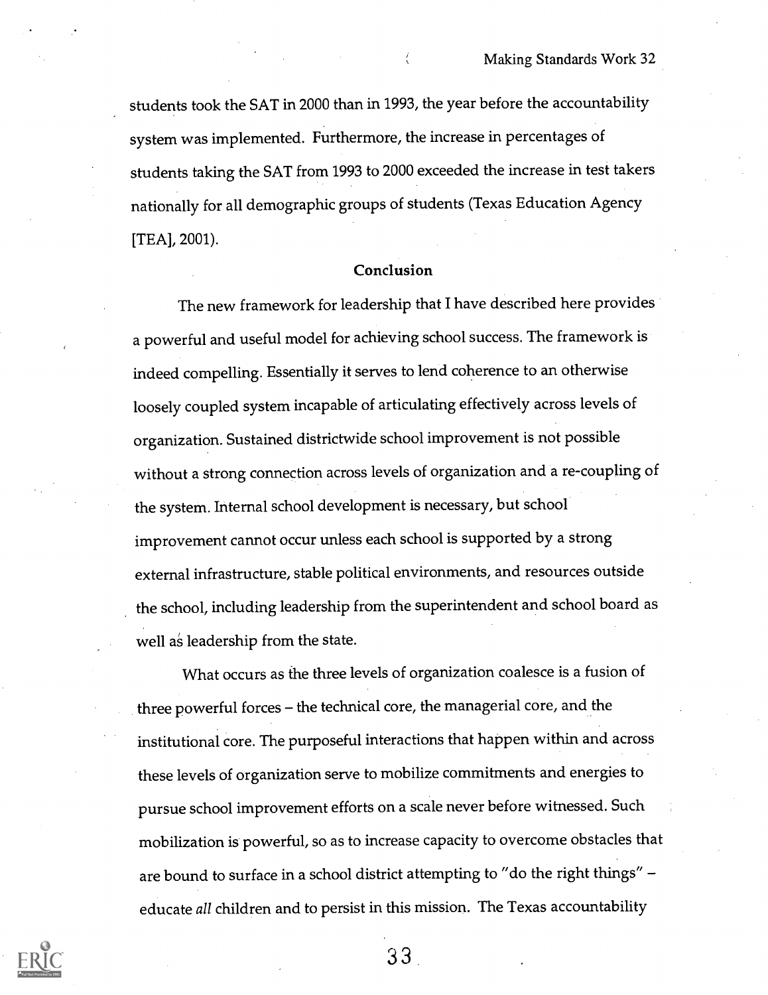students took the SAT in 2000 than in 1993, the year before the accountability system was implemented. Furthermore, the increase in percentages of students taking the SAT from 1993 to 2000 exceeded the increase in test takers nationally for all demographic groups of students (Texas Education Agency [TEA], 2001).

#### Conclusion

The new framework for leadership that I have described here provides a powerful and useful model for achieving school success. The framework is indeed compelling. Essentially it serves to lend coherence to an otherwise loosely coupled system incapable of articulating effectively across levels of organization. Sustained districtwide school improvement is not possible without a strong connection across levels of organization and a re-coupling of the system. Internal school development is necessary, but school improvement cannot occur unless each school is supported by a strong external infrastructure, stable political environments, and resources outside the school, including leadership from the superintendent and school board as well as leadership from the state.

What occurs as the three levels of organization coalesce is a fusion of three powerful forces - the technical core, the managerial core, and the institutional core. The purposeful interactions that happen within and across these levels of organization serve to mobilize commitments and energies to pursue school improvement efforts on a scale never before witnessed. Such mobilization is powerful, so as to increase capacity to overcome obstacles that are bound to surface in a school district attempting to "do the right things" educate all children and to persist in this mission. The Texas accountability

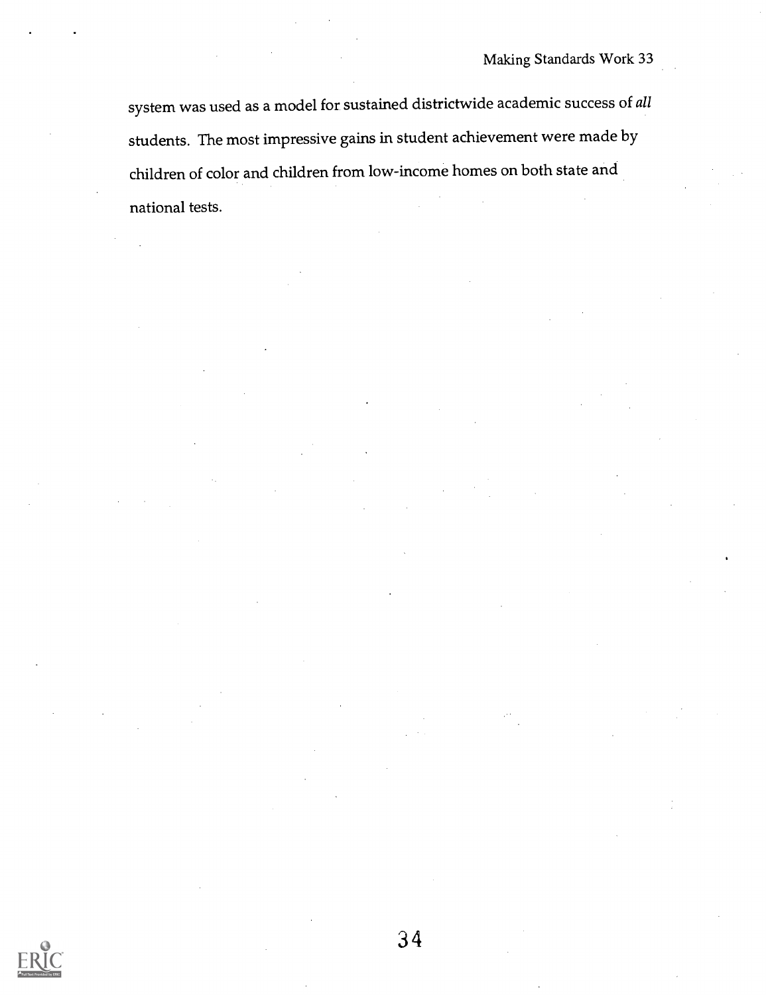system was used as a model for sustained districtwide academic success of all students. The most impressive gains in student achievement were made by children of color and children from low-income homes on both state and national tests.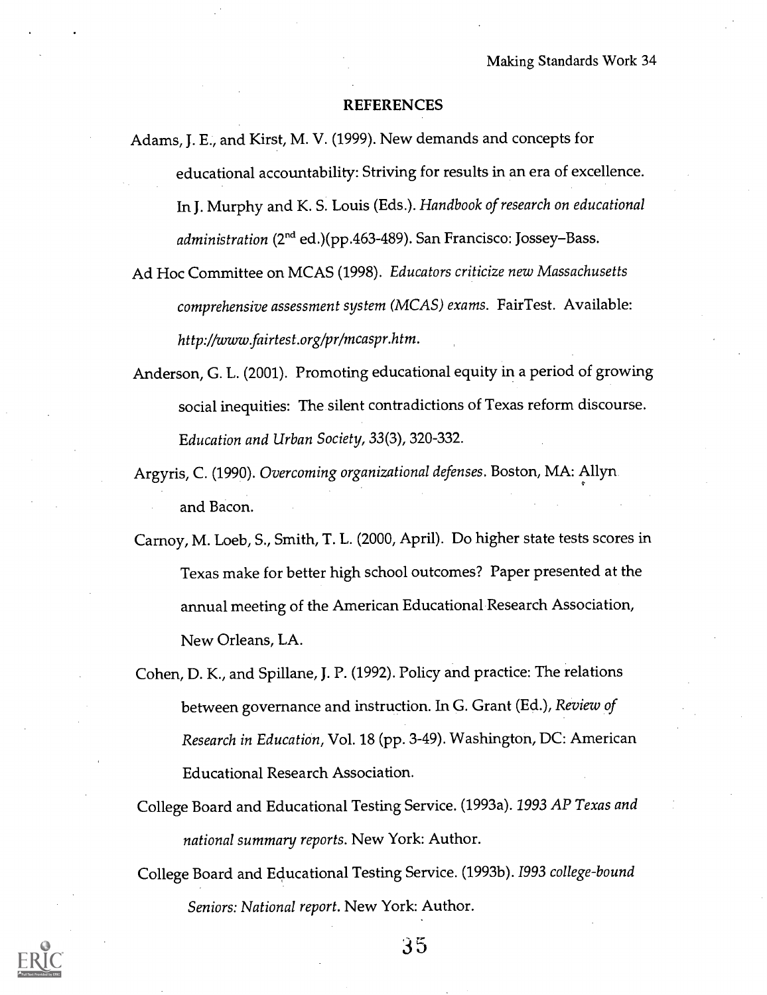#### REFERENCES

- Adams, J. E., and Kirst, M. V. (1999). New demands and concepts for educational accountability: Striving for results in an era of excellence. In J. Murphy and K. S. Louis (Eds.). Handbook of research on educational administration (2<sup>nd</sup> ed.)(pp.463-489). San Francisco: Jossey–Bass.
- Ad Hoc Committee on MCAS (1998). Educators criticize new Massachusetts comprehensive assessment system (MCAS) exams. FairTest. Available: http://www.fairtest.org/pr/mcaspr.htm.
- Anderson, G. L. (2001). Promoting educational equity in a period of growing social inequities: The silent contradictions of Texas reform discourse. Education and Urban Society, 33(3), 320-332.
- Argyris, C. (1990). Overcoming organizational defenses. Boston, MA: Allyn and Bacon.
- Carnoy, M. Loeb, S., Smith, T. L. (2000, April). Do higher state tests scores in Texas make for better high school outcomes? Paper presented at the annual meeting of the American Educational Research Association, New Orleans, LA.
- Cohen, D. K., and Spillane, J. P. (1992). Policy and practice: The relations between governance and instruction. In G. Grant (Ed.), Review of Research in Education, Vol. 18 (pp. 3-49). Washington, DC: American Educational Research Association.
- College Board and Educational Testing Service. (1993a). 1993 AP Texas and national summary reports. New York: Author.
- College Board and Educational Testing Service. (1993b). 1993 college-bound Seniors: National report. New York: Author.

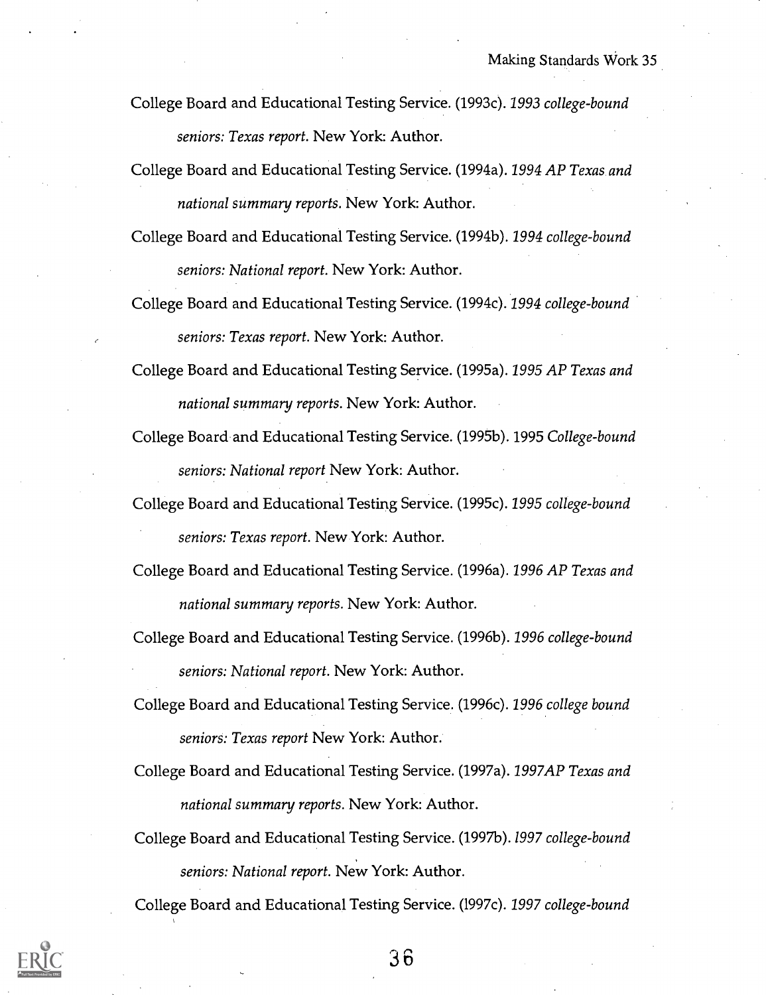- College Board and Educational Testing Service. (1993c). 1993 college-bound seniors: Texas report. New York: Author.
- College Board and Educational Testing Service. (1994a). 1994 AP Texas and national summary reports. New York: Author.
- College Board and Educational Testing Service. (1994b). 1994 college-bound seniors: National report. New York: Author.
- College Board and Educational Testing Service. (1994c). 1994 college-bound seniors: Texas report. New York: Author.
- College Board and Educational Testing Service. (1995a). 1995 AP Texas and national summary reports. New York: Author.
- College Board and Educational Testing Service. (1995b). 1995 College-bound seniors: National report New York: Author.
- College Board and Educational Testing Service. (1995c). 1995 college-bound seniors: Texas report. New York: Author.
- College Board and Educational Testing Service. (1996a). 1996 AP Texas and national summary reports. New York: Author.
- College Board and Educational Testing Service. (1996b). 1996 college-bound seniors: National report. New York: Author.
- College Board and Educational Testing Service. (1996c). 1996 college bound seniors: Texas report New York: Author.
- College Board and Educational Testing Service. (1997a). 1997AP Texas and national summary reports. New York: Author.
- College Board and Educational Testing Service. (1997b). 1997 college-bound seniors: National report. New York: Author.

College Board and Educational Testing Service. (l997c). 1997 college-bound

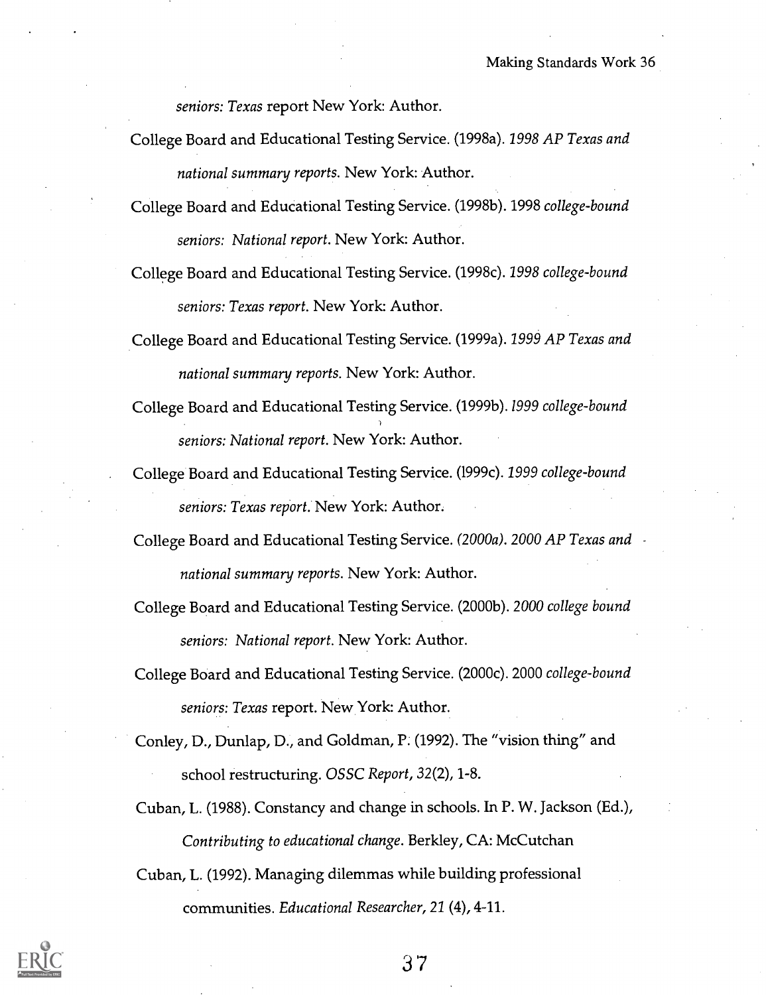seniors: Texas report New York: Author.

- College Board and Educational Testing Service. (1998a). 1998 AP Texas and national summary reports. New York: Author.
- College Board and Educational Testing Service. (1998b). 1998 college-bound seniors: National report. New York: Author.
- College Board and Educational Testing Service. (1998c). 1998 college-bound seniors: Texas report. New York: Author.
- College Board and Educational Testing Service. (1999a). 1999 AP Texas and national summary reports. New York: Author.
- College Board and Educational Testing Service. (1999b). 1999 college-bound seniors: National report. New York: Author.
- College Board and Educational Testing Service. (1999c). 1999 college-bound seniors: Texas report. New York: Author.
- College Board and Educational Testing Service. (2000a). 2000 AP Texas and national summary reports. New York: Author.
- College Board and Educational Testing Service. (2000b). 2000 college bound seniors: National report. New York: Author.
- College Board and Educational Testing Service. (2000c). 2000 college-bound seniors: Texas report. New York: Author.
- Conley, D., Dunlap, D., and Goldman, P. (1992). The "vision thing" and school restructuring. OSSC Report, 32(2), 1-8.
- Cuban, L. (1988). Constancy and change in schools. In P. W. Jackson (Ed.), Contributing to educational change. Berkley, CA: McCutchan
- Cuban, L. (1992). Managing dilemmas while building professional communities. Educational Researcher, 21 (4), 4-11.

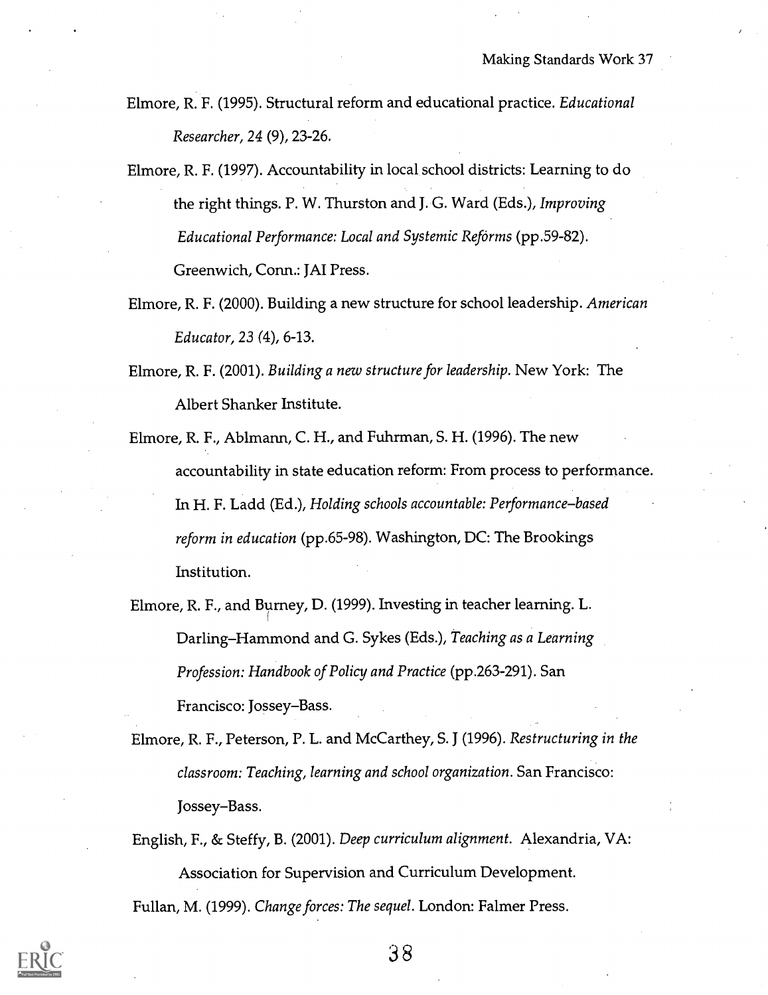- Elmore, R. F. (1995). Structural reform and educational practice. Educational Researcher, 24 (9), 23-26.
- Elmore, R. F. (1997). Accountability in local school districts: Learning to do the right things. P. W. Thurston and J. G. Ward (Eds.), Improving Educational Performance: Local and Systemic Reforms (pp.59-82). Greenwich, Conn.: JAI Press.
- Elmore, R. F. (2000). Building a new structure for school leadership. American Educator, 23 (4), 6-13.
- Elmore, R. F. (2001). Building a new structure for leadership. New York: The Albert Shanker Institute.
- Elmore, R. F., Ablmann, C. H., and Fuhrman, S. H. (1996). The new accountability in state education reform: From process to performance. In H. F. Ladd (Ed.), Holding schools accountable: Performance-based reform in education (pp.65-98). Washington, DC: The Brookings Institution.
- Elmore, R. F., and Burney, D. (1999). Investing in teacher learning. L. Darling–Hammond and G. Sykes (Eds.), Teaching as a Learning Profession: Handbook of Policy and Practice (pp.263-291). San Francisco: Jossey–Bass.
- Elmore, R. F., Peterson, P. L. and McCarthey, S. J (1996). Restructuring in the classroom: Teaching, learning and school organization. San Francisco: Jossey-Bass.
- English, F., & Steffy, B. (2001). Deep curriculum alignment. Alexandria, VA: Association for Supervision and Curriculum Development. Fullan, M. (1999). Change forces: The sequel. London: Falmer Press.

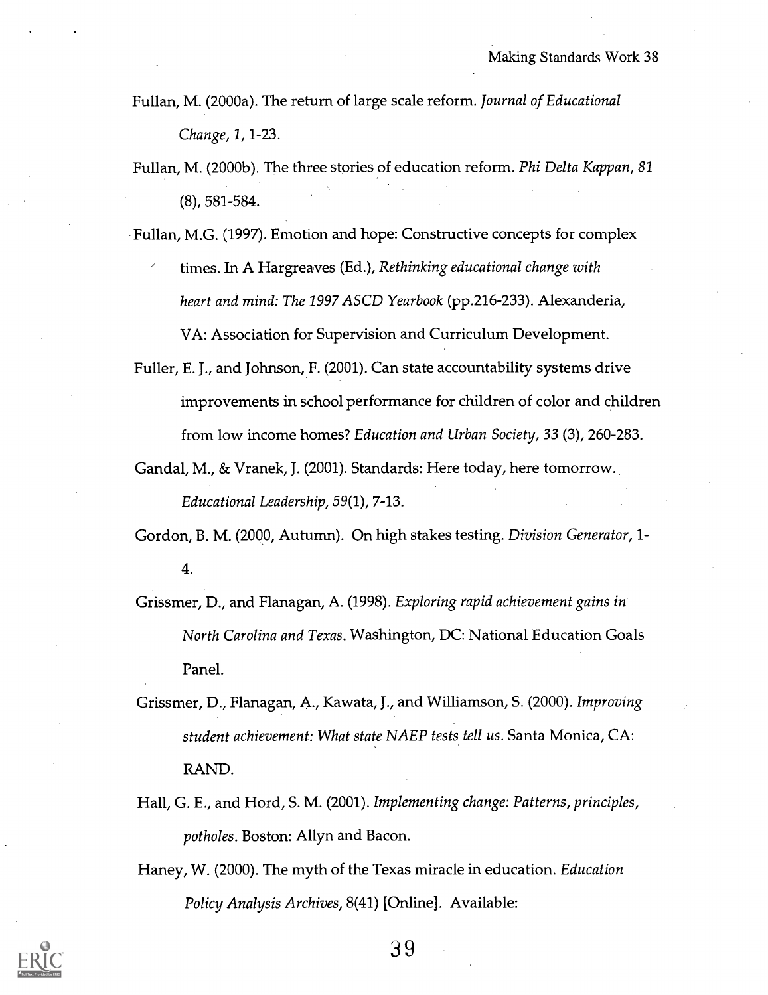- Fullan, M. (2000a). The return of large scale reform. Journal of Educational Change, 1, 1-23.
- Fullan, M. (2000b). The three stories of education reform. Phi Delta Kappan, 81 (8), 581-584.
- Fullan, M.G. (1997). Emotion and hope: Constructive concepts for complex times. In A Hargreaves (Ed.), Rethinking educational change with heart and mind: The 1997 ASCD Yearbook (pp.216-233). Alexanderia, VA: Association for Supervision and Curriculum Development.
- Fuller, E. J., and Johnson, F. (2001). Can state accountability systems drive improvements in school performance for children of color and children from low income homes? Education and Urban Society, 33 (3), 260-283.
- Gandal, M., & Vranek, J. (2001). Standards: Here today, here tomorrow. Educational Leadership, 59(1), 7-13.

Gordon, B. M. (2000, Autumn). On high stakes testing. Division Generator, 1- 4.

- Grissmer, D., and Flanagan, A. (1998). Exploring rapid achievement gains in-North Carolina and Texas. Washington, DC: National Education Goals Panel.
- Grissmer, D., Flanagan, A., Kawata, J., and Williamson, S. (2000). Improving student achievement: What state NAEP tests tell us. Santa Monica, CA: RAND.
- Hall, G. E., and Hord, S. M. (2001). Implementing change: Patterns, principles, potholes. Boston: Allyn and Bacon.
- Haney, W. (2000). The myth of the Texas miracle in education. Education Policy Analysis Archives, 8(41) [Online]. Available:

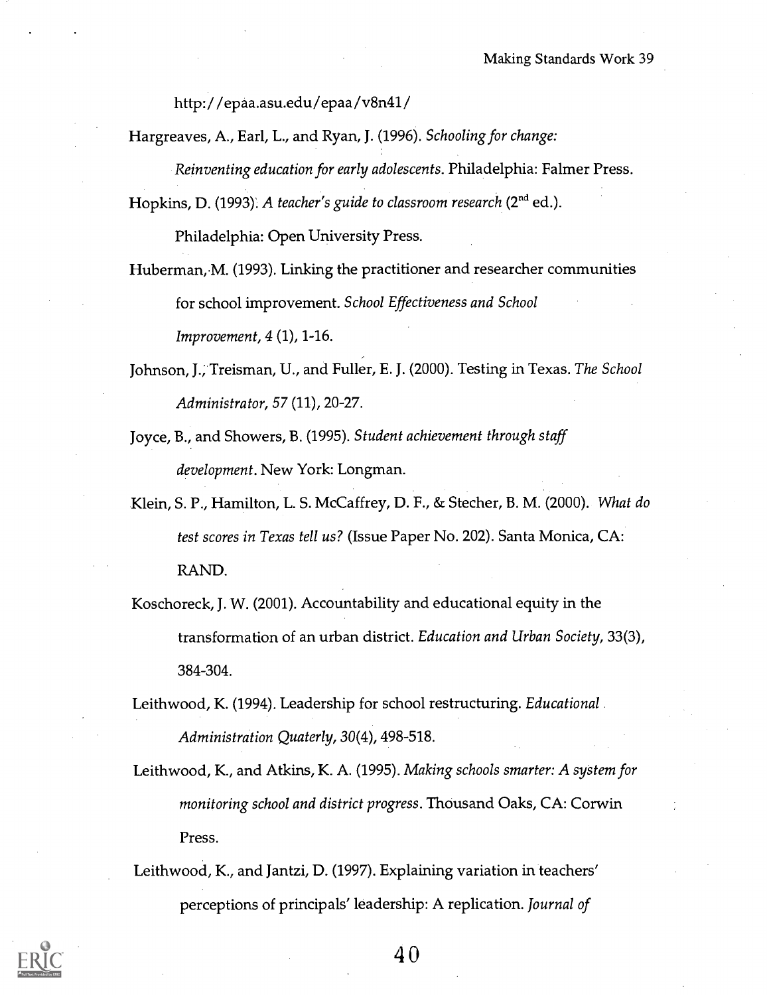http:/ /epaa.asu.edu/epaa/v8n41/

Hargreaves, A., Earl, L., and Ryan, J. (1996). Schooling for change: Reinventing education for early adolescents. Philadelphia: Falmer Press.

Hopkins, D. (1993). A teacher's guide to classroom research  $(2<sup>nd</sup>$  ed.).

Philadelphia: Open University Press.

- Huberman, M. (1993). Linking the practitioner and researcher communities for school improvement. School Effectiveness and School Improvement, 4 (1), 1-16.
- Johnson, J.; Treisman, U., and Fuller, E. J. (2000). Testing in Texas. The School Administrator, 57 (11), 20-27.
- Joyce, B., and Showers, B. (1995). Student achievement through staff development. New York: Longman.
- Klein, S. P., Hamilton, L. S. McCaffrey, D. F., & Stecher, B. M. (2000). What do test scores in Texas tell us? (Issue Paper No. 202). Santa Monica, CA: RAND.
- Koschoreck, J. W. (2001). Accountability and educational equity in the transformation of an urban district. Education and Urban Society, 33(3), 384-304.
- Leithwood, K. (1994). Leadership for school restructuring. Educational Administration Quaterly, 30(4), 498-518.
- Leithwood, K., and Atkins, K. A. (1995). Making schools smarter: A system for monitoring school and district progress. Thousand Oaks, CA: Corwin Press.
- Leithwood, K., and Jantzi, D. (1997). Explaining variation in teachers' perceptions of principals' leadership: A replication. Journal of

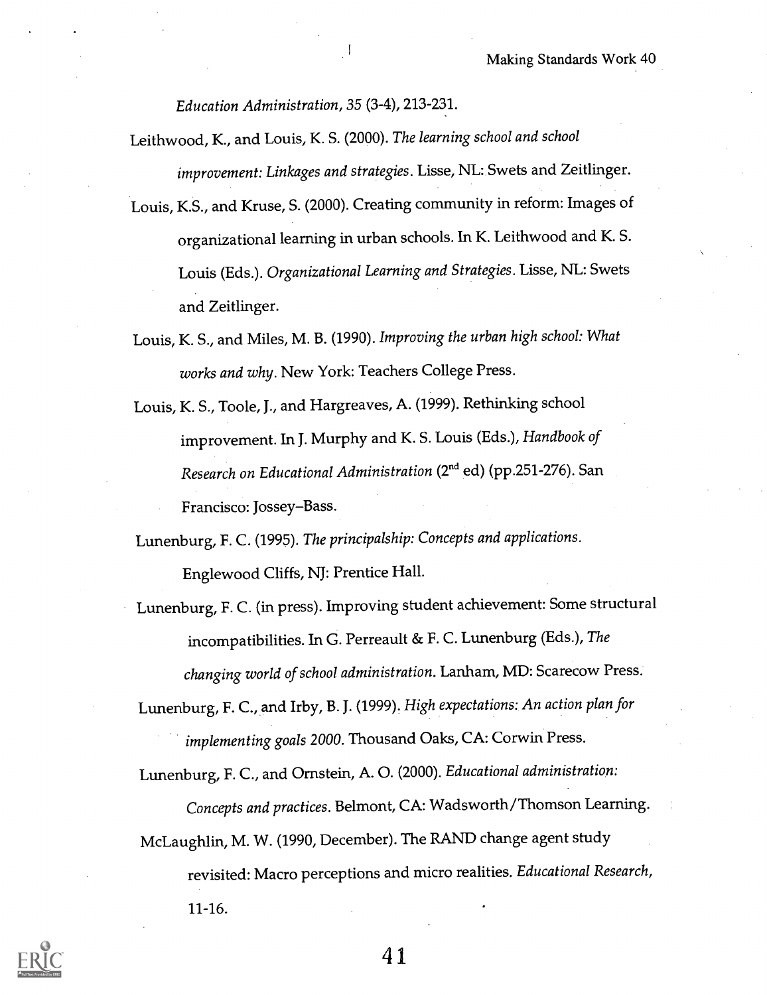Education Administration, 35 (3-4), 213-231.

- Leithwood, K., and Louis, K. S. (2000). The learning school and school improvement: Linkages and strategies. Lisse, NL: Swets and Zeitlinger.
- Louis, K.S., and Kruse, S. (2000). Creating community in reform: Images of organizational learning in urban schools. In K. Leithwood and K. S. Louis (Eds.). Organizational Learning and Strategies. Lisse, NL: Swets and Zeitlinger.
- Louis, K. S., and Miles, M. B. (1990). Improving the urban high school: What works and why. New York: Teachers College Press.
- Louis, K. S., Toole, J., and Hargreaves, A. (1999). Rethinking school improvement. In J. Murphy and K. S. Louis (Eds.), Handbook of Research on Educational Administration (2<sup>nd</sup> ed) (pp.251-276). San Francisco: Jossey-Bass.

Lunenburg, F. C. (1995). The principalship: Concepts and applications. Englewood Cliffs, NJ: Prentice Hall.

Lunenburg, F. C. (in press). Improving student achievement: Some structural incompatibilities. In G. Perreault & F. C. Lunenburg (Eds.), The changing world of school administration. Lanham, MD: Scarecow Press.

Lunenburg, F. C., and Irby, B. J. (1999). High expectations: An action plan for implementing goals 2000. Thousand Oaks, CA: Corwin Press.

Lunenburg, F. C., and Ornstein, A. 0. (2000). Educational administration:

Concepts and practices. Belmont, CA: Wadsworth/Thomson Learning.

McLaughlin, M. W. (1990, December). The RAND change agent study revisited: Macro perceptions and micro realities. Educational Research, 11-16.

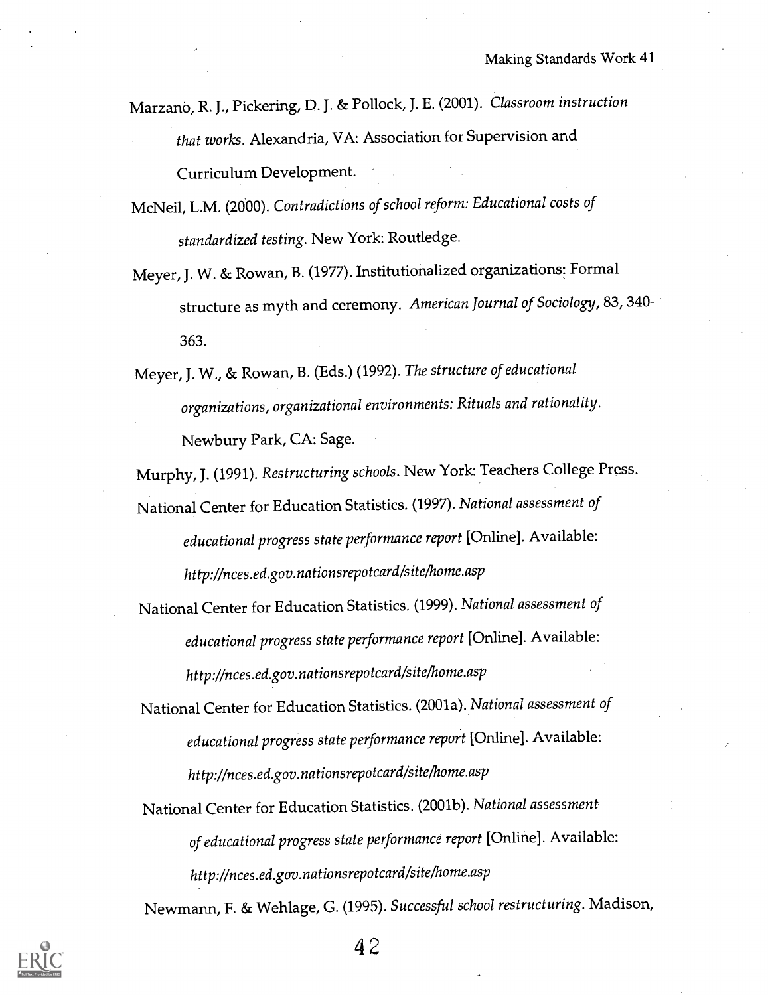- Marzano, R. J., Pickering, D. J. & Pollock, J. E. (2001). Classroom instruction that works. Alexandria, VA: Association for Supervision and Curriculum Development.
- McNeil, L.M. (2000). Contradictions of school reform: Educational costs of standardized testing. New York: Routledge.
- Meyer, J. W. & Rowan, B. (1977). Institutionalized organizations: Formal structure as myth and ceremony. American Journal of Sociology, 83, 340- 363.
- Meyer, J. W., & Rowan, B. (Eds.) (1992). The structure of educational organizations, organizational environments: Rituals and rationality. Newbury Park, CA: Sage.

Murphy, J. (1991). Restructuring schools. New York: Teachers College Press. National Center for Education Statistics. (1997). National assessment of educational progress state performance report [Online]. Available: http://nces.ed.gov.nationsrepotcard/site/home.asp

National Center for Education Statistics. (1999). National assessment of educational progress state performance report [Online]. Available: http://nces.ed.gov.nationsrepotcard/sitelhome.asp

National Center for Education Statistics. (2001a). National assessment of educational progress state performance report [Online]. Available: http://nces.ed.gov.nationsrepotcard/site/home.asp

National Center for Education Statistics. (2001b). National assessment of educational progress state performance report [Online]. Available: http://nces.ed.gov.nationsrepotcard/site/home.asp

Newmann, F. & Wehlage, G. (1995). Successful school restructuring. Madison,

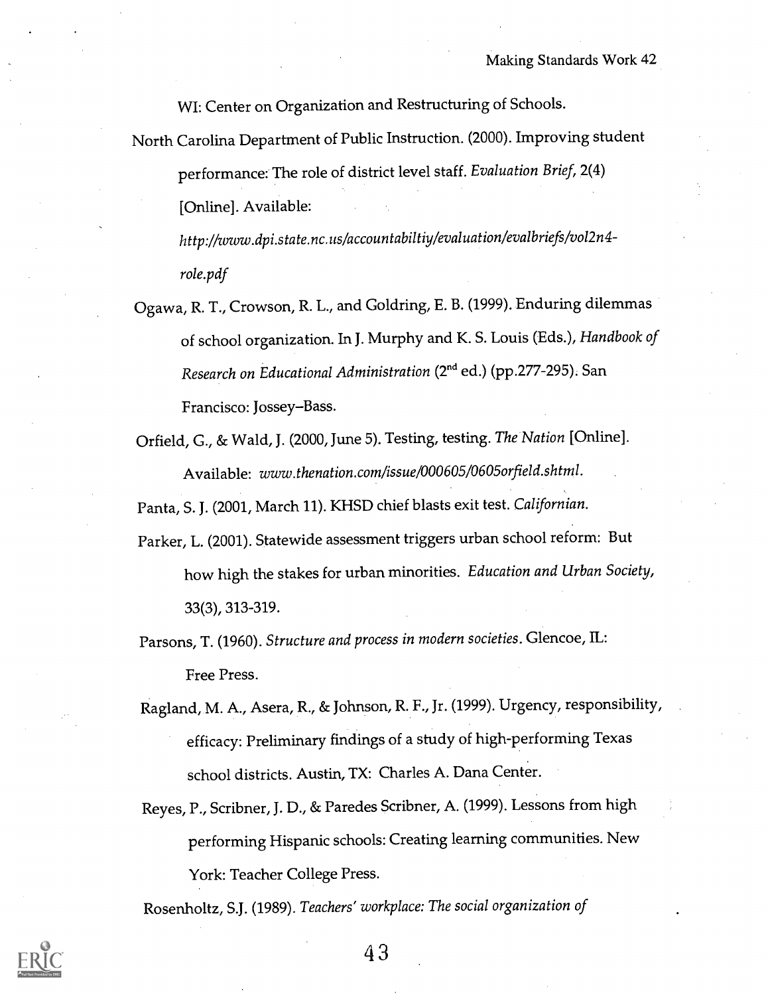WI: Center on Organization and Restructuring of Schools.

North Carolina Department of Public Instruction. (2000). Improving student performance: The role of district level staff. Evaluation Brief, 2(4) [Online]. Available:

http://www.dpi.state.nc.us/accountabiltiy/evaluation/evalbriefs/vol2n4 role.pdf

Ogawa, R. T., Crowson, R. L., and Goldring, E. B. (1999). Enduring dilemmas of school organization. In J. Murphy and K. S. Louis (Eds.), Handbook of Research on Educational Administration (2<sup>nd</sup> ed.) (pp.277-295). San Francisco: Jossey-Bass.

Orfield, G., & Wald, J. (2000, June 5). Testing, testing. The Nation [Online]. Available: www.thenation.com/issue/000605/0605orfield.shtml.

Panta, S. J. (2001, March 11). KHSD chief blasts exit test. Californian.

- Parker, L. (2001). Statewide assessment triggers urban school reform: But how high the stakes for urban minorities. Education and Urban Society, 33(3), 313-319.
- Parsons, T. (1960). Structure and process in modern societies. Glencoe, IL: Free Press.
- Ragland, M. A., Asera, R., & Johnson, R. F., Jr. (1999). Urgency, responsibility, efficacy: Preliminary findings of a study of high-performing Texas school districts. Austin, TX: Charles A. Dana Center.
- Reyes, P., Scribner, J. D., & Paredes Scribner, A. (1999). Lessons from high performing Hispanic schools: Creating learning communities. New York: Teacher College Press.

Rosenholtz, S.J. (1989). Teachers' workplace: The social organization of

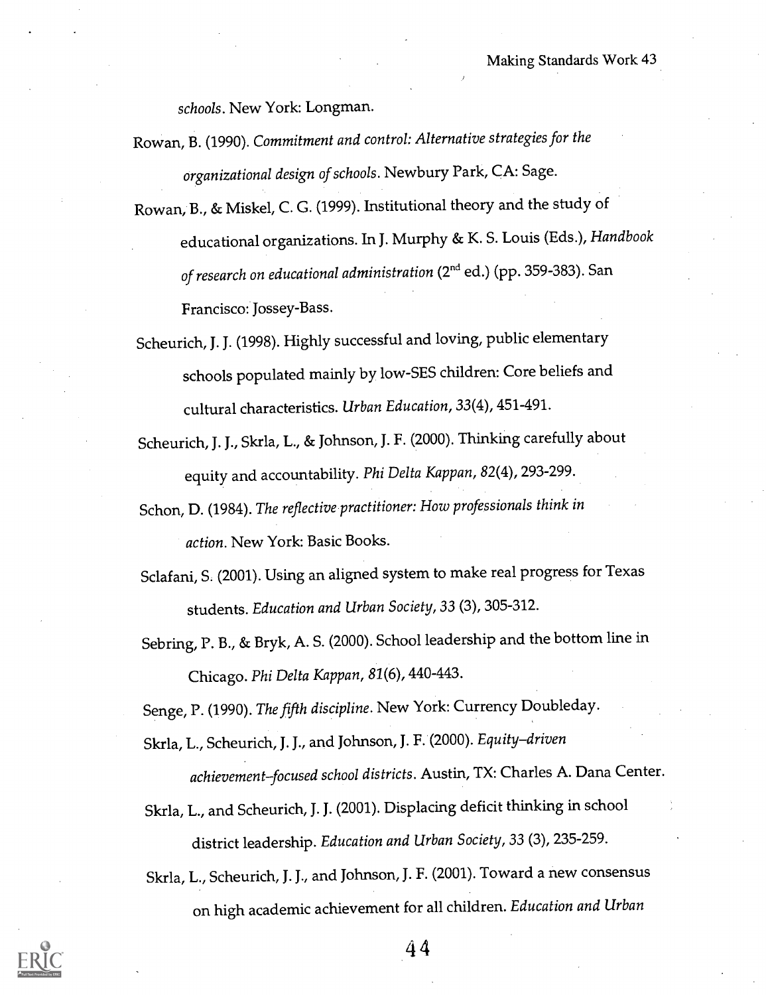schools. New York: Longman.

- Rowan, B. (1990). Commitment and control: Alternative strategies for the organizational design of schools. Newbury Park, CA: Sage.
- Rowan, B., & Miskel, C. G. (1999). Institutional theory and the study of educational organizations. In J. Murphy & K. S. Louis (Eds.), Handbook of research on educational administration (2<sup>nd</sup> ed.) (pp. 359-383). San Francisco: Jossey-Bass.
- Scheurich, J. J. (1998). Highly successful and loving, public elementary schools populated mainly by low-SES children: Core beliefs and cultural characteristics. Urban Education, 33(4), 451-491.
- Scheurich, J. J., Skrla, L., & Johnson, J. F. (2000). Thinking carefully about equity and accountability. Phi Delta Kappan, 82(4), 293-299.
- Schon, D. (1984). The reflective practitioner: How professionals think in action. New York: Basic Books.
- Sclafani, S. (2001). Using an aligned system to make real progress for Texas students. Education and Urban Society, 33 (3), 305-312.
- Sebring, P. B., & Bryk, A. S. (2000). School leadership and the bottom line in Chicago. Phi Delta Kappan, 81(6), 440-443.

Senge, P. (1990). The fifth discipline. New York: Currency Doubleday.

- Skrla, L., Scheurich, J. J., and Johnson, J. F. (2000). Equity-driven achievement-focused school districts. Austin, TX: Charles A. Dana Center.
- Skrla, L., and Scheurich, J. J. (2001). Displacing deficit thinking in school district leadership. Education and Urban Society, 33 (3), 235-259.

Skrla, L., Scheurich, J. J., and Johnson, J. F. (2001). Toward a new consensus on high academic achievement for all children. Education and Urban

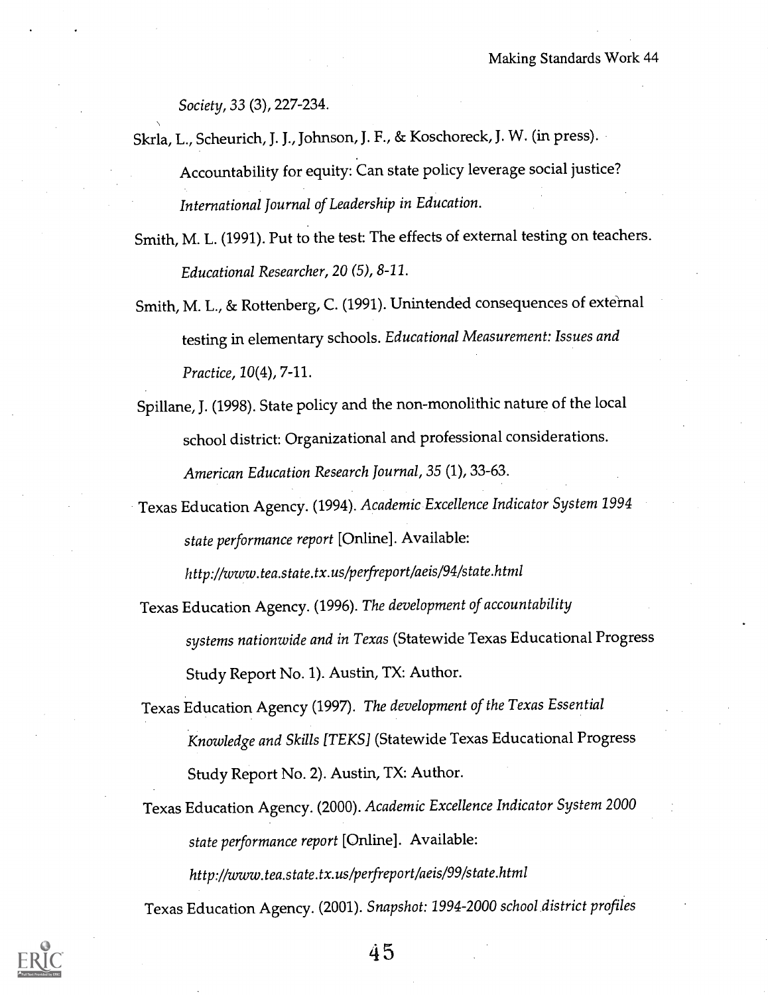Society, 33 (3), 227-234.

- Skrla, L., Scheurich, J. J., Johnson, J. F., & Koschoreck, J. W. (in press). Accountability for equity: Can state policy leverage social justice? International Journal of Leadership in Education.
- Smith, M. L. (1991). Put to the test: The effects of external testing on teachers. Educational Researcher, 20 (5), 8-11.
- Smith, M. L., & Rottenberg, C. (1991). Unintended consequences of external testing in elementary schools. Educational Measurement: Issues and Practice, 10(4), 7-11.
- Spillane, J. (1998). State policy and the non-monolithic nature of the local school district: Organizational and professional considerations. American Education Research Journal, 35 (1), 33-63.
- Texas Education Agency. (1994). Academic Excellence Indicator System 1994 state performance report [Online]. Available:

http://www.tea.state.tx.us/perfreport/aeis/94/state.html

- Texas Education Agency. (1996). The development of accountability systems nationwide and in Texas (Statewide Texas Educational Progress Study Report No. 1). Austin, TX: Author.
- Texas Education Agency (1997). The development of the Texas Essential Knowledge and Skills ITEKS] (Statewide Texas Educational Progress Study Report No. 2). Austin, TX: Author.
- Texas Education Agency. (2000). Academic Excellence Indicator System2000 state performance report [Online]. Available: http://www.tea.state.tx.us/perfreport/aeis/99/state.html

Texas Education Agency. (2001). Snapshot: 1994-2000 school district profiles

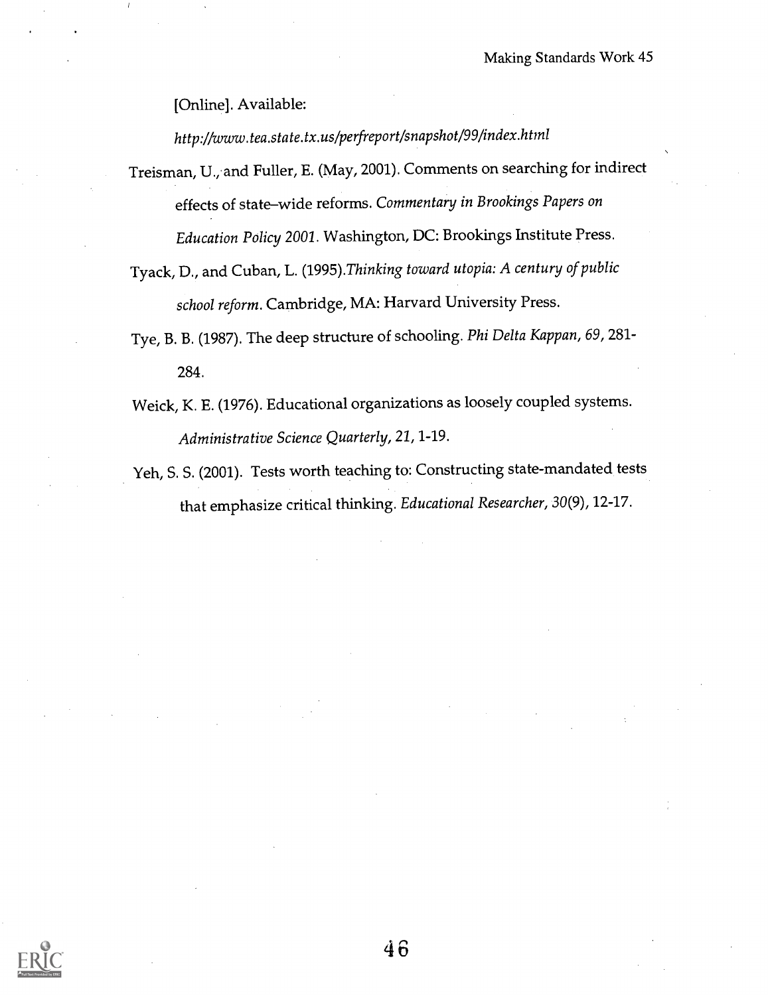[Online]. Available:

http://www.tea.state.tx.us/perfreport/snapshot/99/index.html

Treisman, U.,-and Fuller, E. (May, 2001). Comments on searching for indirect effects of state-wide reforms. Commentary in Brookings Papers on Education Policy 2001. Washington, DC: Brookings Institute Press.

Tyack, D., and Cuban, L. (1995).Thinking toward utopia: A century of public school reform. Cambridge, MA: Harvard University Press.

Tye, B. B. (1987). The deep structure of schooling. Phi Delta Kappan, 69, 281- 284.

Weick, K. E. (1976). Educational organizations as loosely coupled systems. Administrative Science Quarterly, 21, 1-19.

Yeh, S. S. (2001). Tests worth teaching to: Constructing state-mandated tests that emphasize critical thinking. Educational Researcher, 30(9), 12-17.

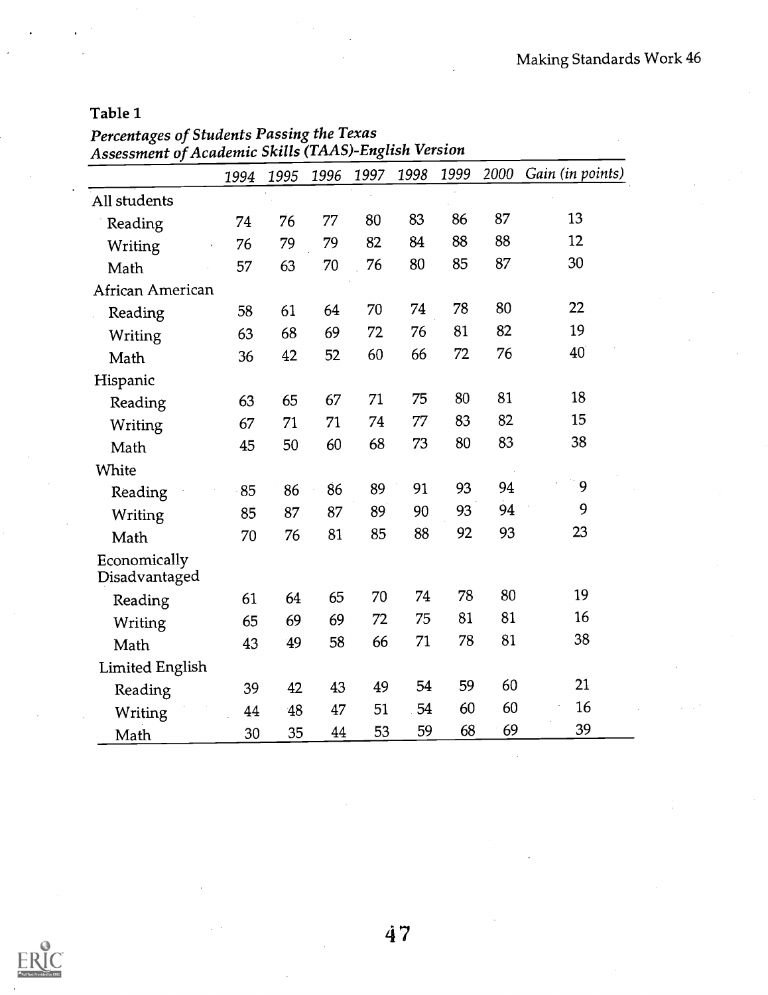#### Table 1

Percentages of Students Passing the Texas Assessment of Academic Skills (TAAS)-English Version

|                               | 1994 | 1995 | 1996 | 1997 | 1998 | 1999 | 2000 | Gain (in points) |
|-------------------------------|------|------|------|------|------|------|------|------------------|
| All students                  |      |      |      |      |      |      |      |                  |
| Reading                       | 74   | 76   | 77   | 80   | 83   | 86   | 87   | 13               |
| Writing                       | 76   | 79   | 79   | 82   | 84   | 88   | 88   | 12               |
| Math                          | 57   | 63   | 70   | 76   | 80   | 85   | 87   | 30               |
| African American              |      |      |      |      |      |      |      |                  |
| Reading                       | 58   | 61   | 64   | 70   | 74   | 78   | 80   | 22               |
| Writing                       | 63   | 68   | 69   | 72   | 76   | 81   | 82   | 19               |
| Math                          | 36   | 42   | 52   | 60   | 66   | 72   | 76   | 40               |
| Hispanic                      |      |      |      |      |      |      |      |                  |
| Reading                       | 63   | 65   | 67   | 71   | 75   | 80   | 81   | 18               |
| Writing                       | 67   | 71   | 71   | 74   | 77   | 83   | 82   | 15               |
| Math                          | 45   | 50   | 60   | 68   | 73   | 80   | 83   | 38               |
| White                         |      |      |      |      |      |      |      |                  |
| Reading                       | 85   | 86   | 86   | 89   | 91   | 93   | 94   | 9                |
| Writing                       | 85   | 87   | 87   | 89   | 90   | 93   | 94   | 9                |
| Math                          | 70   | 76   | 81   | 85   | 88   | 92   | 93   | 23               |
| Economically<br>Disadvantaged |      |      |      |      |      |      |      |                  |
| Reading                       | 61   | 64   | 65   | 70   | 74   | 78   | 80   | 19               |
| Writing                       | 65   | 69   | 69   | 72   | 75   | 81   | 81   | 16               |
| Math                          | 43   | 49   | 58   | 66   | 71   | 78   | 81   | 38               |
| <b>Limited English</b>        |      |      |      |      |      |      |      |                  |
| Reading                       | 39   | 42   | 43   | 49   | 54   | 59   | 60   | 21               |
| Writing                       | 44   | 48   | 47   | 51   | 54   | 60   | 60   | 16               |
| Math                          | 30   | 35   | 44   | 53   | 59   | 68   | 69   | 39               |

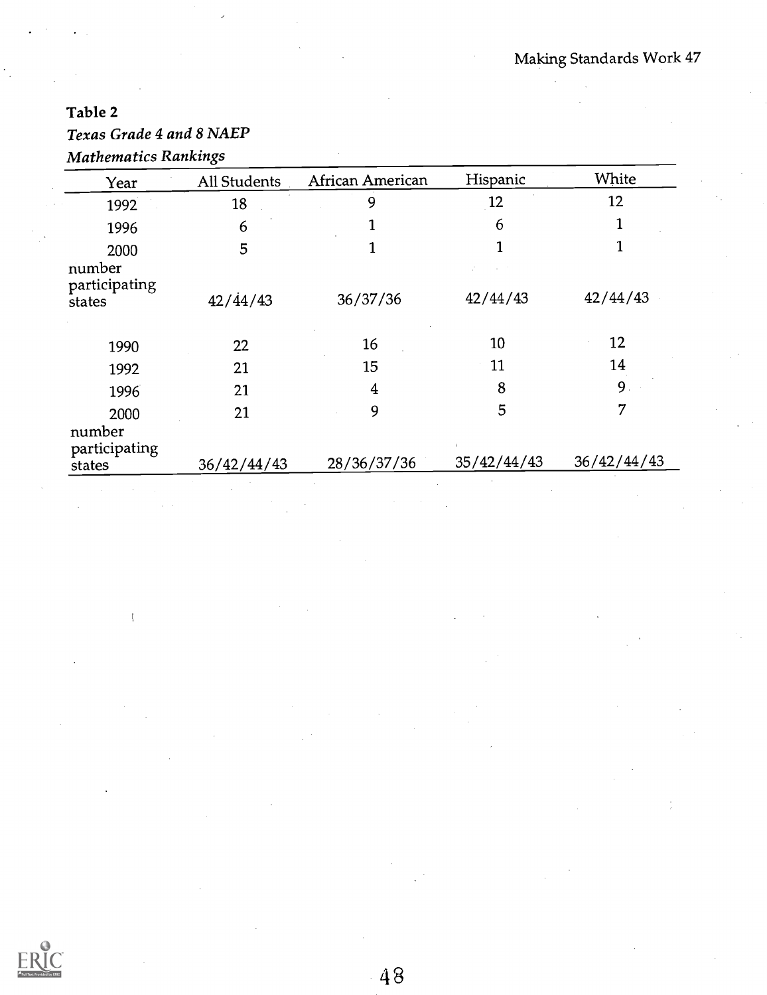## Table 2

l,

## Texas Grade 4 and 8 NAEP

| <b>Mathematics Rankings</b> |  |
|-----------------------------|--|
|-----------------------------|--|

| Year                              | All Students     | African American | Hispanic    | White       |  |
|-----------------------------------|------------------|------------------|-------------|-------------|--|
| 1992                              | 18               | 9                | 12          | 12          |  |
| 1996                              | 6                |                  | 6           |             |  |
| 2000                              | 5                |                  |             |             |  |
| number<br>participating<br>states | $42/\dot{4}4/43$ | 36/37/36         | 42/44/43    | 42/44/43    |  |
| 1990                              | 22               | 16               | 10          | 12          |  |
| 1992                              | 21               | 15               | 11          | 14          |  |
| 1996                              | 21               | 4                | 8           | 9.          |  |
| 2000                              | 21               | 9                | 5           | 7           |  |
| number<br>participating<br>states | 36/42/44/43      | 28/36/37/36      | 35/42/44/43 | 36/42/44/43 |  |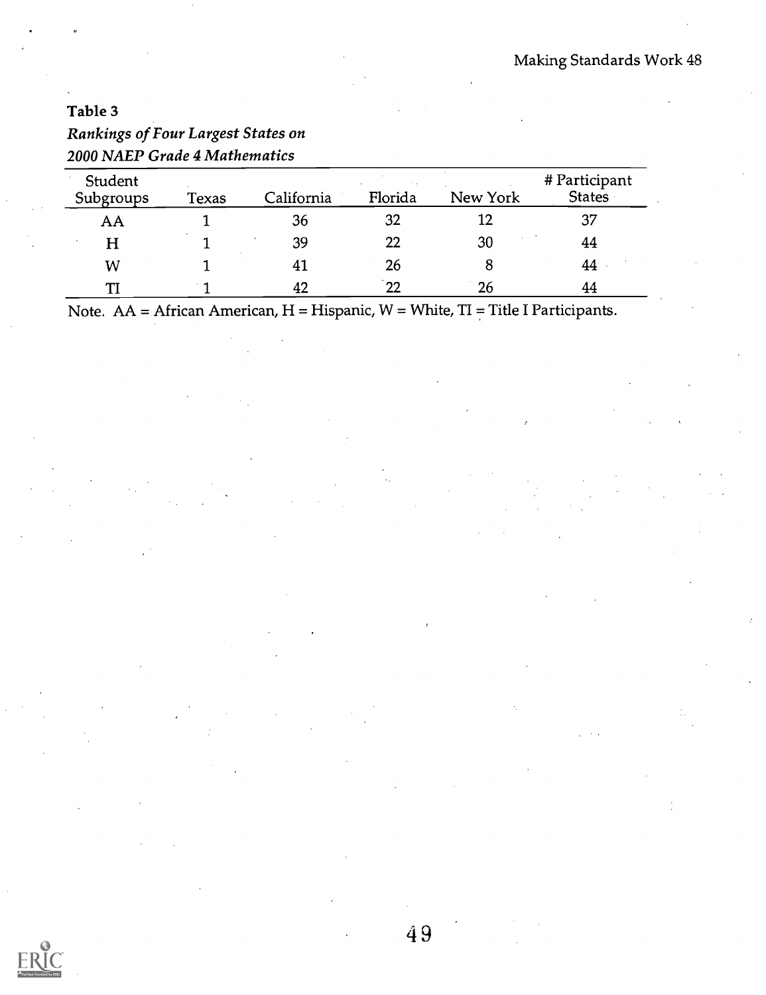| Immings of Tom Employ States on |       |            |         |          |                                |
|---------------------------------|-------|------------|---------|----------|--------------------------------|
| 2000 NAEP Grade 4 Mathematics   |       |            |         |          |                                |
| Student<br>Subgroups            | Texas | California | Florida | New York | # Participant<br><b>States</b> |
| AA                              |       | 36         | 32      | 12       | 37                             |
| н                               |       | 39         | 22      | 30       | 44                             |
| W                               |       | 41         | 26      | 8        | 44                             |
| TT                              |       | 42         | 22      | 26       | 44                             |

## Table 3 Rankings of Four Largest States on

Note.  $AA = African American, H = Hispanic, W = White, TI = Title I Participants.$ 

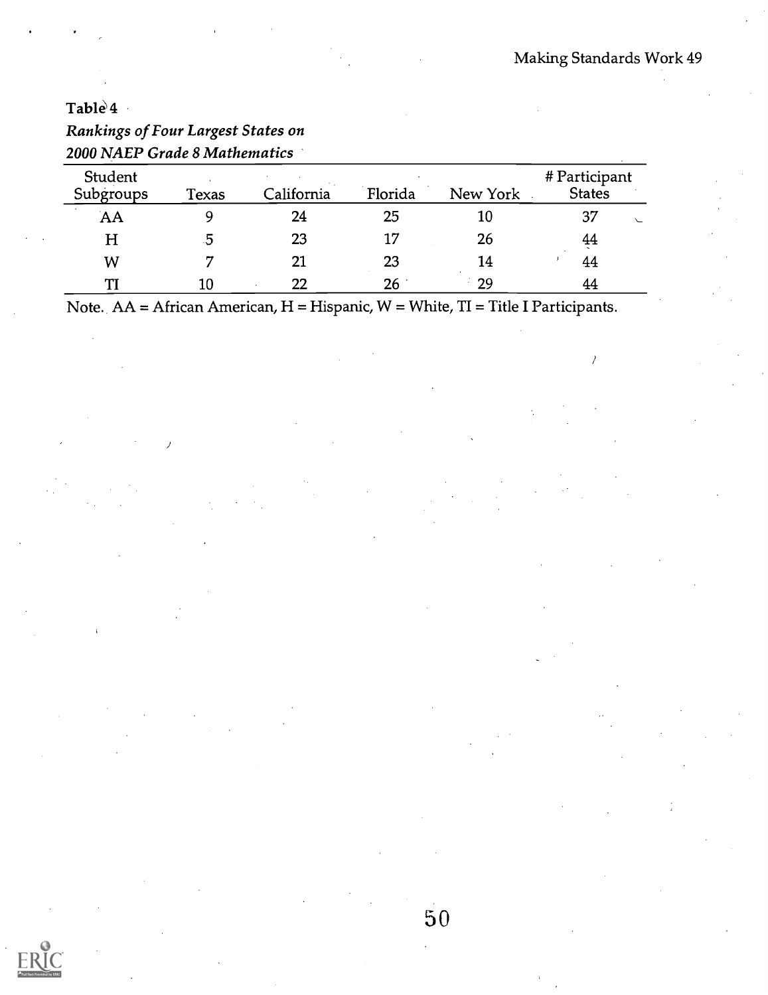## Table<sup>4</sup>

| 2000 NAEP Grade 8 Mathematics |              |            |         |          |                                |  |
|-------------------------------|--------------|------------|---------|----------|--------------------------------|--|
| Student<br>Subgroups          | <b>Texas</b> | California | Florida | New York | # Participant<br><b>States</b> |  |
| AA                            |              | 24         | 25      | 10       | 37                             |  |
| $\boldsymbol{\mathrm{H}}$     | 5            | 23         | 17      | 26       | 44                             |  |
| W                             |              | 21         | 23      | 14       | 44                             |  |
| TI                            | 10           | 22         | 26      | - 29     | 44                             |  |

# Rankings of Four Largest States on

Note.  $AA = African American, H = Hispanic, W = White, TI = Title IParticipants.$ 

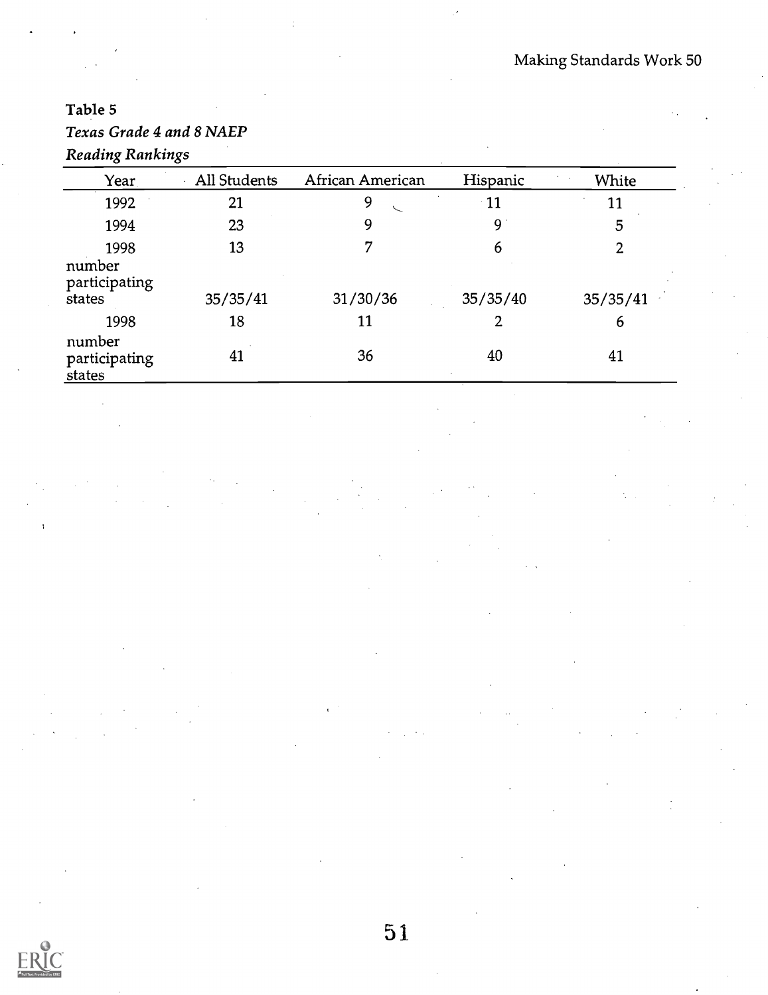## Table 5

## Texas Grade 4 and 8 NAEP Reading Rankings

| Year                                      | All Students   | African American | Hispanic      | White         |
|-------------------------------------------|----------------|------------------|---------------|---------------|
| 1992                                      | 21             | 9                | $\cdot$ 11    | 11            |
| 1994                                      | 23             | 9                | 9             | 5             |
| 1998<br>number<br>participating<br>states | 13<br>35/35/41 | 7<br>31/30/36    | 6<br>35/35/40 | 2<br>35/35/41 |
| 1998                                      | 18             | 11               | 2             | 6             |
| number<br>participating<br>states         | 41             | 36               | 40            | 41            |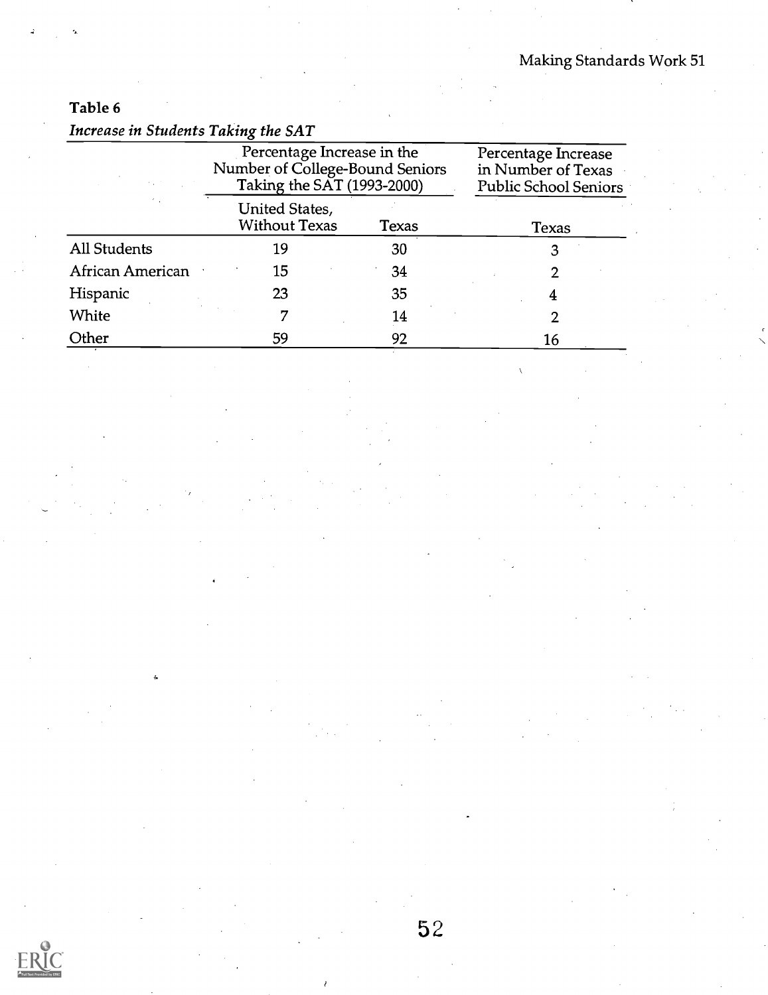### Table 6

|                     | Percentage Increase in the<br>Number of College-Bound Seniors<br>Taking the SAT (1993-2000) |              | Percentage Increase<br>in Number of Texas<br><b>Public School Seniors</b> |
|---------------------|---------------------------------------------------------------------------------------------|--------------|---------------------------------------------------------------------------|
|                     | United States,<br><b>Without Texas</b>                                                      | <b>Texas</b> | Texas                                                                     |
| <b>All Students</b> | 19                                                                                          | 30           |                                                                           |
| African American    | 15                                                                                          | 34           |                                                                           |
| Hispanic            | 23                                                                                          | 35           | 4                                                                         |
| White               | 7                                                                                           | 14           |                                                                           |
| Other               | 59                                                                                          | 92           | 16                                                                        |

Increase in Students Taking the SAT

5 2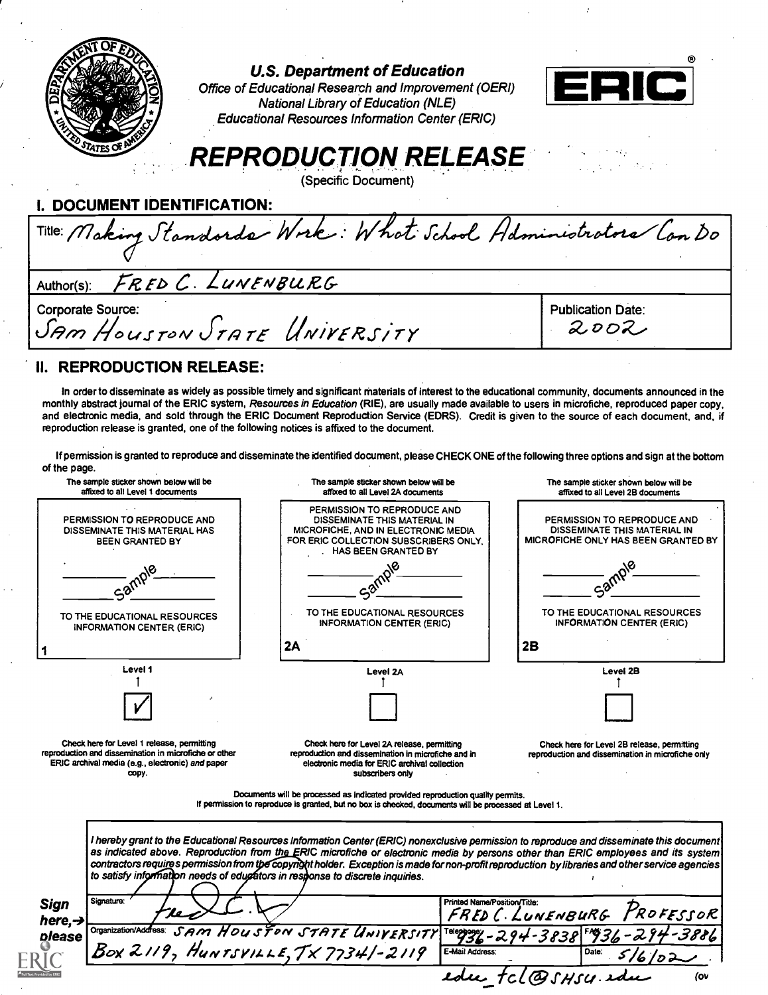|                                                                                                                                                                  | <b>U.S. Department of Education</b><br>Office of Educational Research and Improvement (OERI)<br><b>National Library of Education (NLE)</b>                                                                                                                                                                                                                                                                                                                                                                                                                                                                                                                                                                         |                              | $\mathbf{C}$                                                                                                                                                           |
|------------------------------------------------------------------------------------------------------------------------------------------------------------------|--------------------------------------------------------------------------------------------------------------------------------------------------------------------------------------------------------------------------------------------------------------------------------------------------------------------------------------------------------------------------------------------------------------------------------------------------------------------------------------------------------------------------------------------------------------------------------------------------------------------------------------------------------------------------------------------------------------------|------------------------------|------------------------------------------------------------------------------------------------------------------------------------------------------------------------|
| <b>DOCUMENT IDENTIFICATION:</b>                                                                                                                                  | <b>Educational Resources Information Center (ERIC)</b><br><b>REPRODUCTION RELEASE</b><br>(Specific Document)                                                                                                                                                                                                                                                                                                                                                                                                                                                                                                                                                                                                       |                              |                                                                                                                                                                        |
|                                                                                                                                                                  | Title: Making Standards Wrik: What School Haministrators Can Do                                                                                                                                                                                                                                                                                                                                                                                                                                                                                                                                                                                                                                                    |                              |                                                                                                                                                                        |
| Author(s):                                                                                                                                                       | FRED C. LUNENBURG                                                                                                                                                                                                                                                                                                                                                                                                                                                                                                                                                                                                                                                                                                  |                              |                                                                                                                                                                        |
| Corporate Source:                                                                                                                                                | SAM HOUSTON STATE UNIVERSITY                                                                                                                                                                                                                                                                                                                                                                                                                                                                                                                                                                                                                                                                                       |                              | <b>Publication Date:</b><br>2002                                                                                                                                       |
| of the page.                                                                                                                                                     | In order to disseminate as widely as possible timely and significant materials of interest to the educational community, documents announced in the<br>monthly abstract journal of the ERIC system, Resources in Education (RIE), are usually made available to users in microfiche, reproduced paper copy,<br>and electronic media, and sold through the ERIC Document Reproduction Service (EDRS). Credit is given to the source of each document, and, if<br>reproduction release is granted, one of the following notices is affixed to the document.<br>If permission is granted to reproduce and disseminate the identified document, please CHECK ONE of the following three options and sign at the bottom |                              |                                                                                                                                                                        |
| The sample sticker shown below will be<br>affixed to all Level 1 documents                                                                                       | The sample sticker shown below will be<br>affixed to all Level 2A documents                                                                                                                                                                                                                                                                                                                                                                                                                                                                                                                                                                                                                                        |                              | The sample sticker shown below will be<br>affixed to all Level 2B documents                                                                                            |
| PERMISSION TO REPRODUCE AND<br>DISSEMINATE THIS MATERIAL HAS<br>BEEN GRANTED BY<br>TO THE EDUCATIONAL RESOURCES                                                  | PERMISSION TO REPRODUCE AND<br>DISSEMINATE THIS MATERIAL IN<br>MICROFICHE, AND IN ELECTRONIC MEDIA<br>FOR ERIC COLLECTION SUBSCRIBERS ONLY.<br>HAS BEEN GRANTED BY<br>TO THE EDUCATIONAL RESOURCES<br>INFORMATION CENTER (ERIC)                                                                                                                                                                                                                                                                                                                                                                                                                                                                                    |                              | PERMISSION TO REPRODUCE AND<br>DISSEMINATE THIS MATERIAL IN<br>MICROFICHE ONLY HAS BEEN GRANTED BY<br>TO THE EDUCATIONAL RESOURCES<br><b>INFORMATION CENTER (ERIC)</b> |
| <b>INFORMATION CENTER (ERIC)</b>                                                                                                                                 | 2A                                                                                                                                                                                                                                                                                                                                                                                                                                                                                                                                                                                                                                                                                                                 | 2B                           |                                                                                                                                                                        |
| Level 1                                                                                                                                                          |                                                                                                                                                                                                                                                                                                                                                                                                                                                                                                                                                                                                                                                                                                                    |                              | Level 2B                                                                                                                                                               |
|                                                                                                                                                                  | Level 2A                                                                                                                                                                                                                                                                                                                                                                                                                                                                                                                                                                                                                                                                                                           |                              |                                                                                                                                                                        |
| Check here for Level 1 release, permitting<br>reproduction and dissemination in microfiche or other<br>ERIC archival media (e.g., electronic) and paper<br>copy. | Check here for Level 2A release, permitting<br>reproduction and dissemination in microfiche and in<br>electronic media for ERIC archival collection<br>subscribers only                                                                                                                                                                                                                                                                                                                                                                                                                                                                                                                                            |                              | Check here for Level 2B release, permitting<br>reproduction and dissemination in microfiche only                                                                       |
|                                                                                                                                                                  | Documents will be processed as indicated provided reproduction quality permits.<br>If permission to reproduce is granted, but no box is checked, documents will be processed at Level 1.                                                                                                                                                                                                                                                                                                                                                                                                                                                                                                                           |                              |                                                                                                                                                                        |
|                                                                                                                                                                  | l hereby grant to the Educational Resources Information Center (ERIC) nonexclusive permission to reproduce and disseminate this document<br>as indicated above. Reproduction from the ERIC microfiche or electronic media by persons other than ERIC employees and its system<br>contractors requires permission from the copyright holder. Exception is made for non-profit reproduction by libraries and other service agencies<br>to satisfy information needs of educators in response to discrete inquiries.                                                                                                                                                                                                  |                              |                                                                                                                                                                        |
| Signature:<br>Sign                                                                                                                                               |                                                                                                                                                                                                                                                                                                                                                                                                                                                                                                                                                                                                                                                                                                                    | Printed Name/Position/Title: | PROFESSOR                                                                                                                                                              |
| here, $\rightarrow$<br>Organization/Address:<br>please                                                                                                           | SAM HOUSTON STATE UNIVERSITY Teleopogy - 294-3838 F936-294-3<br>9. HUNTSVILLE, TX 7734/-2119 E-Mail Address.                                                                                                                                                                                                                                                                                                                                                                                                                                                                                                                                                                                                       | FRED C. LUNENBURG            |                                                                                                                                                                        |
|                                                                                                                                                                  | Box 2119, HUNTSVILLE, TX 77341-2119                                                                                                                                                                                                                                                                                                                                                                                                                                                                                                                                                                                                                                                                                |                              |                                                                                                                                                                        |
|                                                                                                                                                                  |                                                                                                                                                                                                                                                                                                                                                                                                                                                                                                                                                                                                                                                                                                                    |                              | tcl@sHsu.edu<br>(ov                                                                                                                                                    |

 $\ddot{\cdot}$ 

 $\hat{\vec{r}}$